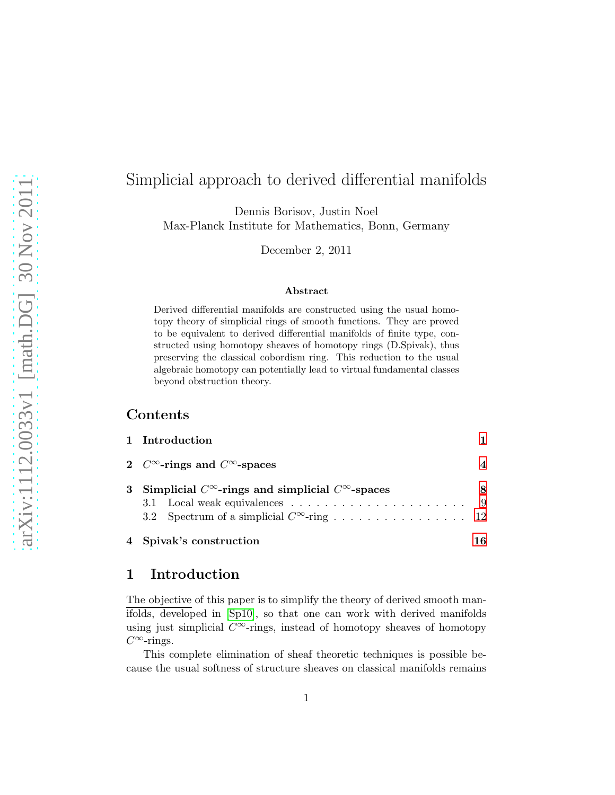# Simplicial approach to derived differential manifolds

Dennis Borisov, Justin Noel Max-Planck Institute for Mathematics, Bonn, Germany

December 2, 2011

#### Abstract

Derived differential manifolds are constructed using the usual homotopy theory of simplicial rings of smooth functions. They are proved to be equivalent to derived differential manifolds of finite type, constructed using homotopy sheaves of homotopy rings (D.Spivak), thus preserving the classical cobordism ring. This reduction to the usual algebraic homotopy can potentially lead to virtual fundamental classes beyond obstruction theory.

## Contents

|   | 1 Introduction                                                                                                                                                                                      |  |
|---|-----------------------------------------------------------------------------------------------------------------------------------------------------------------------------------------------------|--|
|   | 2 $C^{\infty}$ -rings and $C^{\infty}$ -spaces                                                                                                                                                      |  |
| 3 | Simplicial $C^{\infty}$ -rings and simplicial $C^{\infty}$ -spaces<br>3.1 Local weak equivalences $\ldots \ldots \ldots \ldots \ldots \ldots$<br>3.2 Spectrum of a simplicial $C^{\infty}$ -ring 12 |  |
|   | 4 Spivak's construction                                                                                                                                                                             |  |

## <span id="page-0-0"></span>1 Introduction

The objective of this paper is to simplify the theory of derived smooth manifolds, developed in [\[Sp10\]](#page-22-0), so that one can work with derived manifolds using just simplicial  $C^{\infty}$ -rings, instead of homotopy sheaves of homotopy  $C^{\infty}$ -rings.

This complete elimination of sheaf theoretic techniques is possible because the usual softness of structure sheaves on classical manifolds remains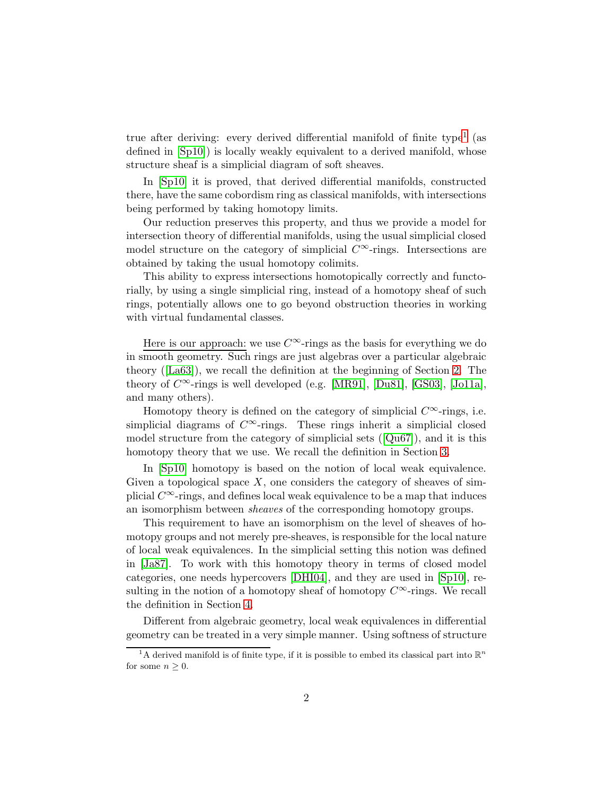true after deriving: every derived differential manifold of finite type<sup>[1](#page-1-0)</sup> (as defined in [\[Sp10\]](#page-22-0)) is locally weakly equivalent to a derived manifold, whose structure sheaf is a simplicial diagram of soft sheaves.

In [\[Sp10\]](#page-22-0) it is proved, that derived differential manifolds, constructed there, have the same cobordism ring as classical manifolds, with intersections being performed by taking homotopy limits.

Our reduction preserves this property, and thus we provide a model for intersection theory of differential manifolds, using the usual simplicial closed model structure on the category of simplicial  $C^{\infty}$ -rings. Intersections are obtained by taking the usual homotopy colimits.

This ability to express intersections homotopically correctly and functorially, by using a single simplicial ring, instead of a homotopy sheaf of such rings, potentially allows one to go beyond obstruction theories in working with virtual fundamental classes.

Here is our approach: we use  $C^{\infty}$ -rings as the basis for everything we do in smooth geometry. Such rings are just algebras over a particular algebraic theory([\[La63\]](#page-22-1)), we recall the definition at the beginning of Section [2.](#page-3-0) The theory of  $C^{\infty}$ -rings is well developed (e.g. [\[MR91\]](#page-22-2), [\[Du81\]](#page-22-3), [\[GS03\]](#page-22-4), [\[Jo11a\]](#page-22-5), and many others).

Homotopy theory is defined on the category of simplicial  $C^{\infty}$ -rings, i.e. simplicial diagrams of  $C^{\infty}$ -rings. These rings inherit a simplicial closed model structure from the category of simplicial sets([\[Qu67\]](#page-22-6)), and it is this homotopy theory that we use. We recall the definition in Section [3.](#page-7-0)

In [\[Sp10\]](#page-22-0) homotopy is based on the notion of local weak equivalence. Given a topological space  $X$ , one considers the category of sheaves of simplicial  $C^{\infty}$ -rings, and defines local weak equivalence to be a map that induces an isomorphism between sheaves of the corresponding homotopy groups.

This requirement to have an isomorphism on the level of sheaves of homotopy groups and not merely pre-sheaves, is responsible for the local nature of local weak equivalences. In the simplicial setting this notion was defined in [\[Ja87\]](#page-22-7). To work with this homotopy theory in terms of closed model categories, one needs hypercovers [\[DHI04\]](#page-21-0), and they are used in [\[Sp10\]](#page-22-0), resulting in the notion of a homotopy sheaf of homotopy  $C^{\infty}$ -rings. We recall the definition in Section [4.](#page-15-0)

Different from algebraic geometry, local weak equivalences in differential geometry can be treated in a very simple manner. Using softness of structure

<span id="page-1-0"></span><sup>&</sup>lt;sup>1</sup>A derived manifold is of finite type, if it is possible to embed its classical part into  $\mathbb{R}^n$ for some  $n \geq 0$ .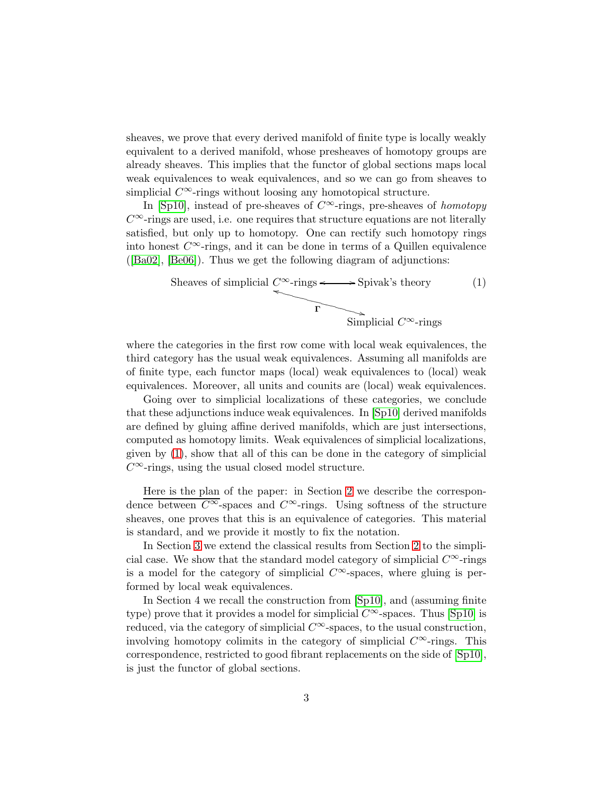sheaves, we prove that every derived manifold of finite type is locally weakly equivalent to a derived manifold, whose presheaves of homotopy groups are already sheaves. This implies that the functor of global sections maps local weak equivalences to weak equivalences, and so we can go from sheaves to simplicial  $C^{\infty}$ -rings without loosing any homotopical structure.

In [\[Sp10\]](#page-22-0), instead of pre-sheaves of  $C^{\infty}$ -rings, pre-sheaves of *homotopy*  $C^{\infty}$ -rings are used, i.e. one requires that structure equations are not literally satisfied, but only up to homotopy. One can rectify such homotopy rings into honest  $C^{\infty}$ -rings, and it can be done in terms of a Quillen equivalence  $([Ba02], [Be06])$  $([Ba02], [Be06])$  $([Ba02], [Be06])$  $([Ba02], [Be06])$  $([Ba02], [Be06])$ . Thus we get the following diagram of adjunctions:

<span id="page-2-0"></span>
$$
Sheaves of simplicial  $\underbrace{C^{\infty}\text{-rings}}_{\Gamma}$  \longrightarrow 
$$
Sipival's theory
$$
 (1)
$$

where the categories in the first row come with local weak equivalences, the third category has the usual weak equivalences. Assuming all manifolds are of finite type, each functor maps (local) weak equivalences to (local) weak equivalences. Moreover, all units and counits are (local) weak equivalences.

Going over to simplicial localizations of these categories, we conclude that these adjunctions induce weak equivalences. In [\[Sp10\]](#page-22-0) derived manifolds are defined by gluing affine derived manifolds, which are just intersections, computed as homotopy limits. Weak equivalences of simplicial localizations, given by [\(1\)](#page-2-0), show that all of this can be done in the category of simplicial  $C^{\infty}$ -rings, using the usual closed model structure.

Here is the plan of the paper: in Section [2](#page-3-0) we describe the correspondence between  $\overline{C^{\infty}}$ -spaces and  $\overline{C^{\infty}}$ -rings. Using softness of the structure sheaves, one proves that this is an equivalence of categories. This material is standard, and we provide it mostly to fix the notation.

In Section [3](#page-7-0) we extend the classical results from Section [2](#page-3-0) to the simplicial case. We show that the standard model category of simplicial  $C^{\infty}$ -rings is a model for the category of simplicial  $C^{\infty}$ -spaces, where gluing is performed by local weak equivalences.

In Section 4 we recall the construction from [\[Sp10\]](#page-22-0), and (assuming finite type) prove that it provides a model for simplicial  $C^{\infty}$ -spaces. Thus [\[Sp10\]](#page-22-0) is reduced, via the category of simplicial  $C^{\infty}$ -spaces, to the usual construction, involving homotopy colimits in the category of simplicial  $C^{\infty}$ -rings. This correspondence, restricted to good fibrant replacements on the side of [\[Sp10\]](#page-22-0), is just the functor of global sections.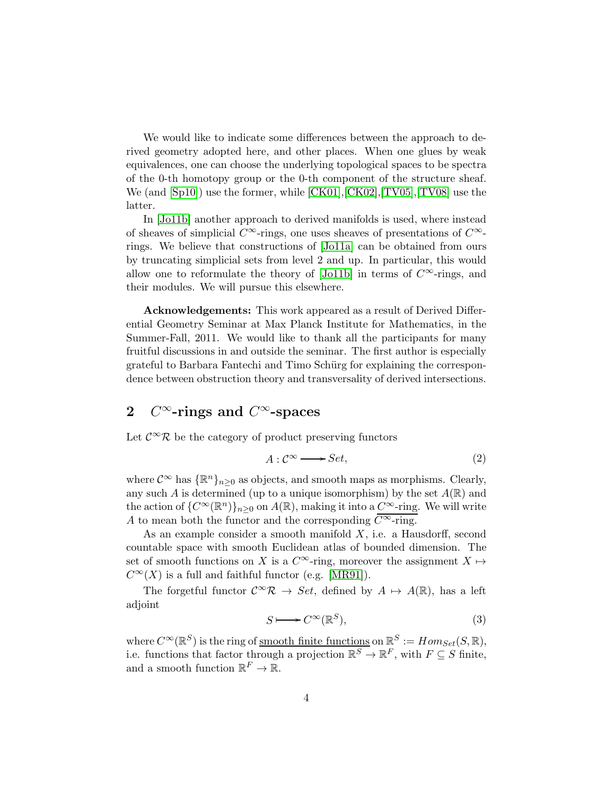We would like to indicate some differences between the approach to derived geometry adopted here, and other places. When one glues by weak equivalences, one can choose the underlying topological spaces to be spectra of the 0-th homotopy group or the 0-th component of the structure sheaf. We (and [\[Sp10\]](#page-22-0)) use the former, while [\[CK01\]](#page-21-3),[\[CK02\]](#page-21-4),[\[TV05\]](#page-22-8),[\[TV08\]](#page-22-9) use the latter.

In [\[Jo11b\]](#page-22-10) another approach to derived manifolds is used, where instead of sheaves of simplicial  $C^{\infty}$ -rings, one uses sheaves of presentations of  $C^{\infty}$ rings. We believe that constructions of [\[Jo11a\]](#page-22-5) can be obtained from ours by truncating simplicial sets from level 2 and up. In particular, this would allow one to reformulate the theory of [\[Jo11b\]](#page-22-10) in terms of  $C^{\infty}$ -rings, and their modules. We will pursue this elsewhere.

Acknowledgements: This work appeared as a result of Derived Differential Geometry Seminar at Max Planck Institute for Mathematics, in the Summer-Fall, 2011. We would like to thank all the participants for many fruitful discussions in and outside the seminar. The first author is especially grateful to Barbara Fantechi and Timo Schürg for explaining the correspondence between obstruction theory and transversality of derived intersections.

# <span id="page-3-0"></span>2  $C^{\infty}$ -rings and  $C^{\infty}$ -spaces

Let  $\mathcal{C}^{\infty}\mathcal{R}$  be the category of product preserving functors

$$
A: \mathcal{C}^{\infty} \longrightarrow Set,\tag{2}
$$

where  $\mathcal{C}^{\infty}$  has  $\{\mathbb{R}^{n}\}_{n\geq 0}$  as objects, and smooth maps as morphisms. Clearly, any such  $A$  is determined (up to a unique isomorphism) by the set  $A(\mathbb{R})$  and the action of  $\{C^{\infty}(\mathbb{R}^n)\}_{n\geq 0}$  on  $A(\mathbb{R})$ , making it into a  $C^{\infty}$ -ring. We will write A to mean both the functor and the corresponding  $\overline{C^{\infty}}$ -ring.

As an example consider a smooth manifold X, i.e. a Hausdorff, second countable space with smooth Euclidean atlas of bounded dimension. The set of smooth functions on X is a  $C^{\infty}$ -ring, moreover the assignment  $X \mapsto$  $C^{\infty}(X)$  is a full and faithful functor (e.g. [\[MR91\]](#page-22-2)).

The forgetful functor  $\mathcal{C}^{\infty} \mathcal{R} \to Set$ , defined by  $A \mapsto A(\mathbb{R})$ , has a left adjoint

$$
S \longmapsto C^{\infty}(\mathbb{R}^S),\tag{3}
$$

where  $C^{\infty}(\mathbb{R}^S)$  is the ring of <u>smooth finite functions</u> on  $\mathbb{R}^S := Hom_{Set}(S, \mathbb{R}),$ i.e. functions that factor through a projection  $\mathbb{R}^S \to \mathbb{R}^F$ , with  $F \subseteq S$  finite, and a smooth function  $\mathbb{R}^F \to \mathbb{R}$ .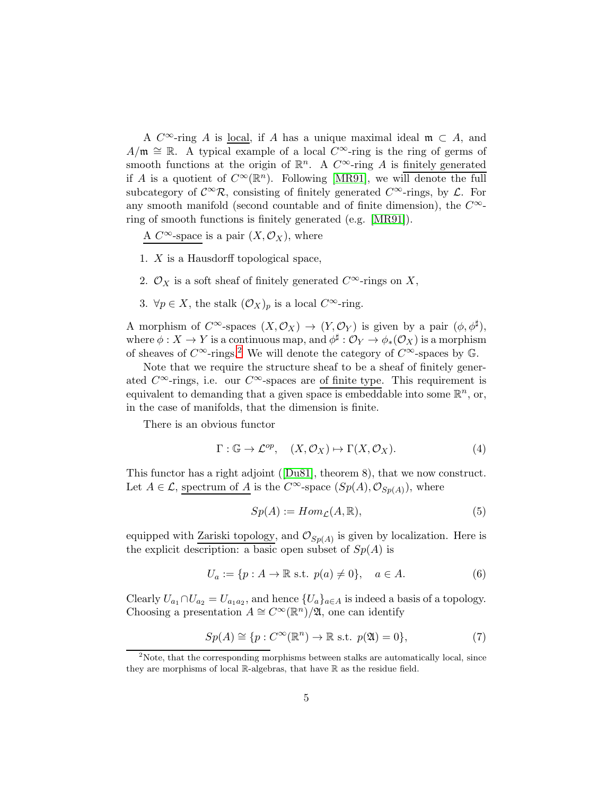A  $C^{\infty}$ -ring A is <u>local</u>, if A has a unique maximal ideal  $\mathfrak{m} \subset A$ , and A/m  $\cong \mathbb{R}$ . A typical example of a local  $C^{\infty}$ -ring is the ring of germs of smooth functions at the origin of  $\mathbb{R}^n$ . A  $C^{\infty}$ -ring A is finitely generated if A is a quotient of  $C^{\infty}(\mathbb{R}^n)$ . Following [\[MR91\]](#page-22-2), we will denote the full subcategory of  $\mathcal{C}^{\infty}R$ , consisting of finitely generated  $C^{\infty}$ -rings, by  $\mathcal{L}$ . For any smooth manifold (second countable and of finite dimension), the  $C^{\infty}$ ring of smooth functions is finitely generated (e.g. [\[MR91\]](#page-22-2)).

A  $C^{\infty}$ -space is a pair  $(X, \mathcal{O}_X)$ , where

- 1. X is a Hausdorff topological space,
- 2.  $\mathcal{O}_X$  is a soft sheaf of finitely generated  $C^{\infty}$ -rings on X,
- 3.  $\forall p \in X$ , the stalk  $(\mathcal{O}_X)_p$  is a local  $C^{\infty}$ -ring.

A morphism of  $C^{\infty}$ -spaces  $(X, \mathcal{O}_X) \to (Y, \mathcal{O}_Y)$  is given by a pair  $(\phi, \phi^{\sharp}),$ where  $\phi: X \to Y$  is a continuous map, and  $\phi^{\sharp}: \mathcal{O}_Y \to \phi_*(\mathcal{O}_X)$  is a morphism of sheaves of  $C^{\infty}$ -rings.<sup>[2](#page-4-0)</sup> We will denote the category of  $C^{\infty}$ -spaces by  $\mathbb{G}$ .

Note that we require the structure sheaf to be a sheaf of finitely generated  $C^{\infty}$ -rings, i.e. our  $C^{\infty}$ -spaces are of finite type. This requirement is equivalent to demanding that a given space is embeddable into some  $\mathbb{R}^n$ , or, in the case of manifolds, that the dimension is finite.

There is an obvious functor

$$
\Gamma: \mathbb{G} \to \mathcal{L}^{op}, \quad (X, \mathcal{O}_X) \mapsto \Gamma(X, \mathcal{O}_X). \tag{4}
$$

This functor has a right adjoint([\[Du81\]](#page-22-3), theorem 8), that we now construct. Let  $A \in \mathcal{L}$ , spectrum of A is the  $C^{\infty}$ -space  $(Sp(A), \mathcal{O}_{Sp(A)})$ , where

$$
Sp(A) := Hom_{\mathcal{L}}(A, \mathbb{R}),\tag{5}
$$

equipped with <u>Zariski</u> topology, and  $\mathcal{O}_{Sp(A)}$  is given by localization. Here is the explicit description: a basic open subset of  $Sp(A)$  is

<span id="page-4-1"></span>
$$
U_a := \{ p : A \to \mathbb{R} \text{ s.t. } p(a) \neq 0 \}, \quad a \in A. \tag{6}
$$

Clearly  $U_{a_1} \cap U_{a_2} = U_{a_1 a_2}$ , and hence  $\{U_a\}_{a \in A}$  is indeed a basis of a topology. Choosing a presentation  $A \cong C^{\infty}(\mathbb{R}^n)/\mathfrak{A}$ , one can identify

$$
Sp(A) \cong \{p : C^{\infty}(\mathbb{R}^n) \to \mathbb{R} \text{ s.t. } p(\mathfrak{A}) = 0\},\tag{7}
$$

<span id="page-4-0"></span><sup>&</sup>lt;sup>2</sup>Note, that the corresponding morphisms between stalks are automatically local, since they are morphisms of local R-algebras, that have R as the residue field.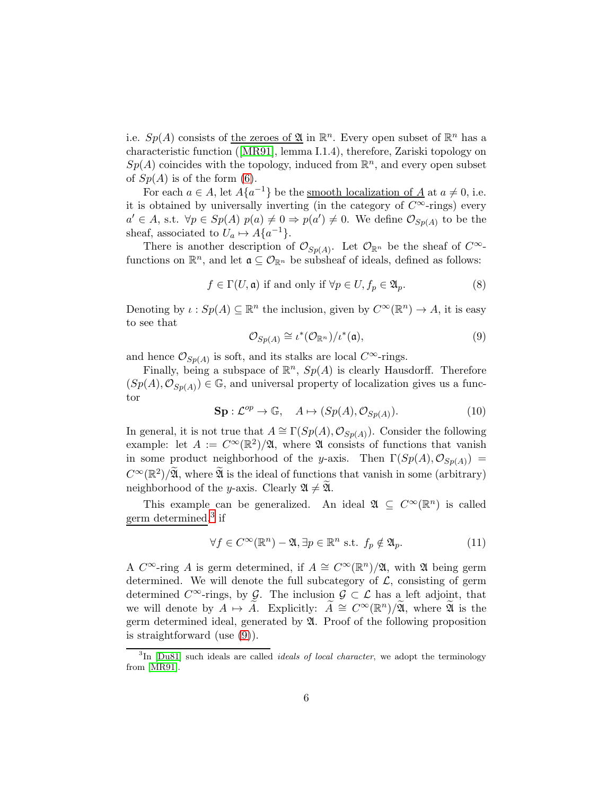i.e.  $Sp(A)$  consists of the zeroes of  $\mathfrak{A}$  in  $\mathbb{R}^n$ . Every open subset of  $\mathbb{R}^n$  has a characteristic function([\[MR91\]](#page-22-2), lemma I.1.4), therefore, Zariski topology on  $Sp(A)$  coincides with the topology, induced from  $\mathbb{R}^n$ , and every open subset of  $Sp(A)$  is of the form [\(6\)](#page-4-1).

For each  $a \in A$ , let  $A\{a^{-1}\}\$ be the <u>smooth localization of A</u> at  $a \neq 0$ , i.e. it is obtained by universally inverting (in the category of  $C^{\infty}$ -rings) every  $a' \in A$ , s.t.  $\forall p \in Sp(A) \ p(a) \neq 0 \Rightarrow p(a') \neq 0$ . We define  $\mathcal{O}_{Sp(A)}$  to be the sheaf, associated to  $U_a \mapsto A\{a^{-1}\}.$ 

There is another description of  $\mathcal{O}_{Sp(A)}$ . Let  $\mathcal{O}_{\mathbb{R}^n}$  be the sheaf of  $C^{\infty}$ functions on  $\mathbb{R}^n$ , and let  $\mathfrak{a} \subseteq \mathcal{O}_{\mathbb{R}^n}$  be subsheaf of ideals, defined as follows:

$$
f \in \Gamma(U, \mathfrak{a}) \text{ if and only if } \forall p \in U, f_p \in \mathfrak{A}_p. \tag{8}
$$

Denoting by  $\iota : Sp(A) \subseteq \mathbb{R}^n$  the inclusion, given by  $C^{\infty}(\mathbb{R}^n) \to A$ , it is easy to see that

<span id="page-5-1"></span>
$$
\mathcal{O}_{Sp(A)} \cong \iota^*(\mathcal{O}_{\mathbb{R}^n})/\iota^*(\mathfrak{a}),\tag{9}
$$

and hence  $\mathcal{O}_{Sp(A)}$  is soft, and its stalks are local  $C^{\infty}$ -rings.

Finally, being a subspace of  $\mathbb{R}^n$ ,  $Sp(A)$  is clearly Hausdorff. Therefore  $(Sp(A), \mathcal{O}_{Sp(A)}) \in \mathbb{G}$ , and universal property of localization gives us a functor

$$
\mathbf{Sp}: \mathcal{L}^{op} \to \mathbb{G}, \quad A \mapsto (Sp(A), \mathcal{O}_{Sp(A)}). \tag{10}
$$

In general, it is not true that  $A \cong \Gamma(Sp(A), \mathcal{O}_{Sp(A)})$ . Consider the following example: let  $A := C^{\infty}(\mathbb{R}^2)/\mathfrak{A}$ , where  $\mathfrak A$  consists of functions that vanish in some product neighborhood of the y-axis. Then  $\Gamma(Sp(A), \mathcal{O}_{Sp(A)}) =$  $C^{\infty}(\mathbb{R}^2)/\widetilde{\mathfrak{A}}$ , where  $\widetilde{\mathfrak{A}}$  is the ideal of functions that vanish in some (arbitrary) neighborhood of the y-axis. Clearly  $\mathfrak{A} \neq \mathfrak{A}$ .

This example can be generalized. An ideal  $\mathfrak{A} \subseteq C^{\infty}(\mathbb{R}^n)$  is called germ determined, [3](#page-5-0) if

$$
\forall f \in C^{\infty}(\mathbb{R}^n) - \mathfrak{A}, \exists p \in \mathbb{R}^n \text{ s.t. } f_p \notin \mathfrak{A}_p.
$$
 (11)

A  $C^{\infty}$ -ring A is germ determined, if  $A \cong C^{\infty}(\mathbb{R}^n)/\mathfrak{A}$ , with  $\mathfrak A$  being germ determined. We will denote the full subcategory of  $\mathcal{L}$ , consisting of germ determined  $C^{\infty}$ -rings, by G. The inclusion  $\mathcal{G} \subset \mathcal{L}$  has a left adjoint, that we will denote by  $\widetilde{A} \mapsto \widetilde{A}$ . Explicitly:  $\widetilde{A} \cong C^{\infty}(\mathbb{R}^n)/\widetilde{\mathfrak{A}}$ , where  $\widetilde{\mathfrak{A}}$  is the germ determined ideal, generated by  $\mathfrak{A}$ . Proof of the following proposition is straightforward (use [\(9\)](#page-5-1)).

<span id="page-5-2"></span><span id="page-5-0"></span><sup>&</sup>lt;sup>3</sup>In [\[Du81\]](#page-22-3) such ideals are called *ideals of local character*, we adopt the terminology from [\[MR91\]](#page-22-2).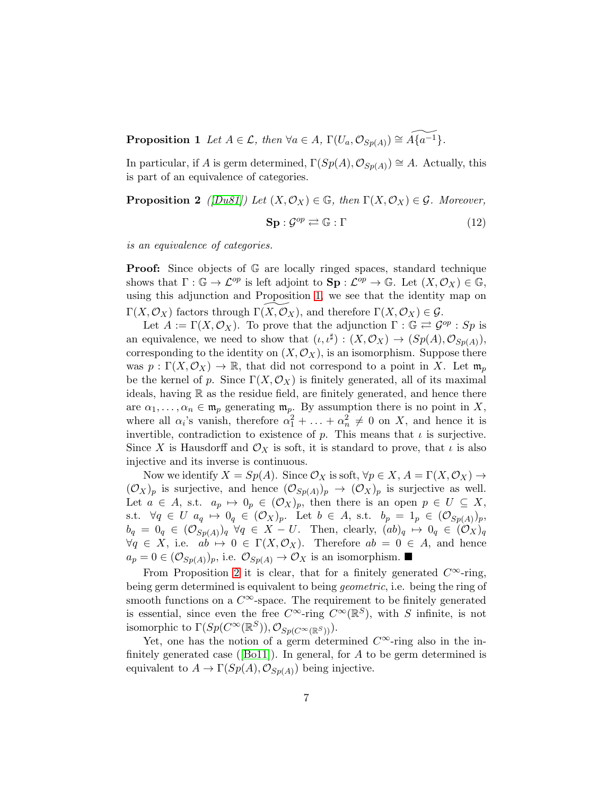**Proposition 1** Let  $A \in \mathcal{L}$ , then  $\forall a \in A$ ,  $\Gamma(U_a, \mathcal{O}_{Sp(A)}) \cong \widetilde{A\{a^{-1}\}}$ .

<span id="page-6-0"></span>In particular, if A is germ determined,  $\Gamma(Sp(A), \mathcal{O}_{Sp(A)}) \cong A$ . Actually, this is part of an equivalence of categories.

**Proposition 2** ([\[Du81\]](#page-22-3)) Let  $(X, \mathcal{O}_X) \in \mathbb{G}$ , then  $\Gamma(X, \mathcal{O}_X) \in \mathcal{G}$ . Moreover,

$$
\mathbf{Sp} : \mathcal{G}^{op} \rightleftarrows \mathbb{G} : \Gamma \tag{12}
$$

is an equivalence of categories.

**Proof:** Since objects of  $\mathbb{G}$  are locally ringed spaces, standard technique shows that  $\Gamma: \mathbb{G} \to \mathcal{L}^{op}$  is left adjoint to  $\mathbf{Sp}: \mathcal{L}^{op} \to \mathbb{G}$ . Let  $(X, \mathcal{O}_X) \in \mathbb{G}$ , using this adjunction and Proposition [1,](#page-5-2) we see that the identity map on Γ(X,  $\mathcal{O}_X$ ) factors through Γ(X,  $\mathcal{O}_X$ ), and therefore Γ(X,  $\mathcal{O}_X$ )  $\in \mathcal{G}$ .

Let  $A := \Gamma(X, \mathcal{O}_X)$ . To prove that the adjunction  $\Gamma : \mathbb{G} \rightleftarrows \mathcal{G}^{op} : Sp$  is an equivalence, we need to show that  $(\iota, \iota^{\sharp}) : (X, \mathcal{O}_X) \to (Sp(A), \mathcal{O}_{Sp(A)})$ , corresponding to the identity on  $(X, \mathcal{O}_X)$ , is an isomorphism. Suppose there was  $p: \Gamma(X, \mathcal{O}_X) \to \mathbb{R}$ , that did not correspond to a point in X. Let  $\mathfrak{m}_p$ be the kernel of p. Since  $\Gamma(X, \mathcal{O}_X)$  is finitely generated, all of its maximal ideals, having  $\mathbb R$  as the residue field, are finitely generated, and hence there are  $\alpha_1, \ldots, \alpha_n \in \mathfrak{m}_p$  generating  $\mathfrak{m}_p$ . By assumption there is no point in X, where all  $\alpha_i$ 's vanish, therefore  $\alpha_1^2 + \ldots + \alpha_n^2 \neq 0$  on X, and hence it is invertible, contradiction to existence of  $p$ . This means that  $\iota$  is surjective. Since X is Hausdorff and  $\mathcal{O}_X$  is soft, it is standard to prove, that  $\iota$  is also injective and its inverse is continuous.

Now we identify  $X = Sp(A)$ . Since  $\mathcal{O}_X$  is soft,  $\forall p \in X$ ,  $A = \Gamma(X, \mathcal{O}_X) \rightarrow$  $(\mathcal{O}_X)_p$  is surjective, and hence  $(\mathcal{O}_{Sp(A)})_p \to (\mathcal{O}_X)_p$  is surjective as well. Let  $a \in A$ , s.t.  $a_p \mapsto 0_p \in (\mathcal{O}_X)_p$ , then there is an open  $p \in U \subseteq X$ , s.t.  $\forall q \in U \ a_q \mapsto 0_q \in (\mathcal{O}_X)_p$ . Let  $b \in A$ , s.t.  $b_p = 1_p \in (\mathcal{O}_{Sp(A)})_p$ ,  $b_q = 0_q \in (\mathcal{O}_{Sp(A)})_q \,\,\forall q \in X - U$ . Then, clearly,  $(ab)_q \mapsto 0_q \in (\mathcal{O}_X)_q$  $\forall q \in X$ , i.e.  $ab \mapsto 0 \in \Gamma(X, \mathcal{O}_X)$ . Therefore  $ab = 0 \in A$ , and hence  $a_p = 0 \in (\mathcal{O}_{Sp(A)})_p$ , i.e.  $\mathcal{O}_{Sp(A)} \to \mathcal{O}_X$  is an isomorphism.

From Proposition [2](#page-6-0) it is clear, that for a finitely generated  $C^{\infty}$ -ring, being germ determined is equivalent to being geometric, i.e. being the ring of smooth functions on a  $C^{\infty}$ -space. The requirement to be finitely generated is essential, since even the free  $C^{\infty}$ -ring  $C^{\infty}(\mathbb{R}^S)$ , with S infinite, is not isomorphic to  $\Gamma(Sp(C^{\infty}(\mathbb{R}^S)), \mathcal{O}_{Sp(C^{\infty}(\mathbb{R}^S))}).$ 

Yet, one has the notion of a germ determined  $C^{\infty}$ -ring also in the in-finitelygenerated case ([\[Bo11\]](#page-21-5)). In general, for  $A$  to be germ determined is equivalent to  $A \to \Gamma(Sp(A), \mathcal{O}_{Sp(A)})$  being injective.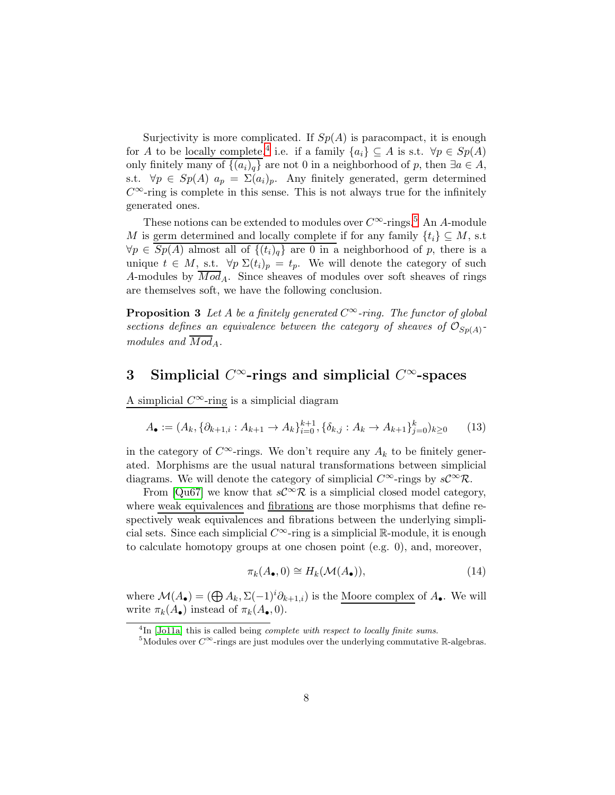Surjectivity is more complicated. If  $Sp(A)$  is paracompact, it is enough for A to be locally complete,<sup>[4](#page-7-1)</sup> i.e. if a family  $\{a_i\} \subseteq A$  is s.t.  $\forall p \in Sp(A)$ only finitely many of  $\{a_i\}_q$  are not 0 in a neighborhood of p, then  $\exists a \in A$ , s.t.  $\forall p \in Sp(A)$   $a_p = \Sigma(a_i)_p$ . Any finitely generated, germ determined  $C^{\infty}$ -ring is complete in this sense. This is not always true for the infinitely generated ones.

These notions can be extended to modules over  $C^{\infty}$ -rings.<sup>[5](#page-7-2)</sup> An A-module M is germ determined and locally complete if for any family  $\{t_i\} \subseteq M$ , s.t  $\forall p \in \overline{Sp(A)}$  almost all of  $\{(t_i)_q\}$  are 0 in a neighborhood of p, there is a unique  $t \in M$ , s.t.  $\forall p \Sigma(t_i)_p = t_p$ . We will denote the category of such A-modules by  $\overline{Mod}_A$ . Since sheaves of modules over soft sheaves of rings are themselves soft, we have the following conclusion.

**Proposition 3** Let A be a finitely generated  $C^{\infty}$ -ring. The functor of global sections defines an equivalence between the category of sheaves of  $\mathcal{O}_{Sp(A)}$ modules and  $\overline{Mod}_A$ .

# <span id="page-7-0"></span>3 Simplicial  $C^{\infty}$ -rings and simplicial  $C^{\infty}$ -spaces

A simplicial  $C^{\infty}$ -ring is a simplicial diagram

$$
A_{\bullet} := (A_k, \{ \partial_{k+1,i} : A_{k+1} \to A_k \}_{i=0}^{k+1}, \{ \delta_{k,j} : A_k \to A_{k+1} \}_{j=0}^k \}_{k \ge 0} \tag{13}
$$

in the category of  $C^{\infty}$ -rings. We don't require any  $A_k$  to be finitely generated. Morphisms are the usual natural transformations between simplicial diagrams. We will denote the category of simplicial  $C^{\infty}$ -rings by  $sC^{\infty}R$ .

From [\[Qu67\]](#page-22-6) we know that  $s\mathcal{C}^{\infty}\mathcal{R}$  is a simplicial closed model category, where weak equivalences and <u>fibrations</u> are those morphisms that define respectively weak equivalences and fibrations between the underlying simplicial sets. Since each simplicial  $C^{\infty}$ -ring is a simplicial R-module, it is enough to calculate homotopy groups at one chosen point (e.g. 0), and, moreover,

$$
\pi_k(A_{\bullet}, 0) \cong H_k(\mathcal{M}(A_{\bullet})), \tag{14}
$$

where  $\mathcal{M}(A_{\bullet}) = (\bigoplus A_k, \Sigma(-1)^i \partial_{k+1,i})$  is the Moore complex of  $A_{\bullet}$ . We will write  $\pi_k(A_{\bullet})$  instead of  $\pi_k(A_{\bullet}, 0)$ .

 ${}^{4}\text{In}$  [\[Jo11a\]](#page-22-5) this is called being *complete with respect to locally finite sums*.

<span id="page-7-2"></span><span id="page-7-1"></span> $5$ Modules over  $C^{\infty}$ -rings are just modules over the underlying commutative R-algebras.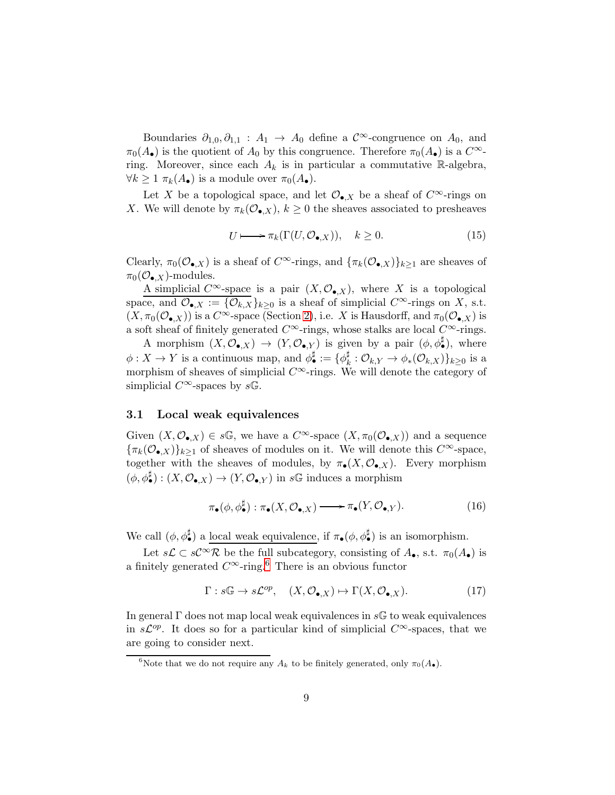Boundaries  $\partial_{1,0}, \partial_{1,1} : A_1 \rightarrow A_0$  define a  $\mathcal{C}^{\infty}$ -congruence on  $A_0$ , and  $\pi_0(A_{\bullet})$  is the quotient of  $A_0$  by this congruence. Therefore  $\pi_0(A_{\bullet})$  is a  $C^{\infty}$ ring. Moreover, since each  $A_k$  is in particular a commutative R-algebra,  $\forall k \geq 1$   $\pi_k(A_{\bullet})$  is a module over  $\pi_0(A_{\bullet})$ .

Let X be a topological space, and let  $\mathcal{O}_{\bullet,X}$  be a sheaf of  $C^{\infty}$ -rings on X. We will denote by  $\pi_k(\mathcal{O}_{\bullet,X}), k \geq 0$  the sheaves associated to presheaves

$$
U \longmapsto \pi_k(\Gamma(U, \mathcal{O}_{\bullet, X})), \quad k \ge 0. \tag{15}
$$

Clearly,  $\pi_0(\mathcal{O}_{\bullet,X})$  is a sheaf of  $C^{\infty}$ -rings, and  $\{\pi_k(\mathcal{O}_{\bullet,X})\}_{k\geq 1}$  are sheaves of  $\pi_0(\mathcal{O}_{\bullet,X})$ -modules.

A simplicial  $C^{\infty}$ -space is a pair  $(X, \mathcal{O}_{\bullet}, X)$ , where X is a topological space, and  $\mathcal{O}_{\bullet,X} := {\mathcal{O}_{k,X}}_{k>0}$  is a sheaf of simplicial  $C^{\infty}$ -rings on X, s.t.  $(X, \pi_0(\mathcal{O}_{\bullet,X}))$  is a  $C^{\infty}$ -space (Section [2\)](#page-3-0), i.e. X is Hausdorff, and  $\pi_0(\mathcal{O}_{\bullet,X})$  is a soft sheaf of finitely generated  $C^{\infty}$ -rings, whose stalks are local  $C^{\infty}$ -rings.

A morphism  $(X, \mathcal{O}_{\bullet,X}) \to (Y, \mathcal{O}_{\bullet,Y})$  is given by a pair  $(\phi, \phi_{\bullet}^{\sharp})$ , where  $\phi: X \to Y$  is a continuous map, and  $\phi_{\bullet}^{\sharp} := \{ \phi_{k}^{\sharp}$  $\psi_k^{\mu}: \mathcal{O}_{k,Y} \to \phi_*(\mathcal{O}_{k,X})\}_{k \geq 0}$  is a morphism of sheaves of simplicial  $C^{\infty}$ -rings. We will denote the category of simplicial  $C^{\infty}$ -spaces by s $\mathbb{G}$ .

#### <span id="page-8-0"></span>3.1 Local weak equivalences

Given  $(X, \mathcal{O}_{\bullet,X}) \in s\mathbb{G}$ , we have a  $C^{\infty}$ -space  $(X, \pi_0(\mathcal{O}_{\bullet,X}))$  and a sequence  ${\pi_k(\mathcal{O}_{\bullet,X})}_{k\geq 1}$  of sheaves of modules on it. We will denote this  $C^{\infty}$ -space, together with the sheaves of modules, by  $\pi_{\bullet}(X, \mathcal{O}_{\bullet, X})$ . Every morphism  $(\phi, \phi_{\bullet}^{\sharp}): (X, \mathcal{O}_{\bullet,X}) \to (Y, \mathcal{O}_{\bullet,Y})$  in sG induces a morphism

$$
\pi_{\bullet}(\phi, \phi_{\bullet}^{\sharp}): \pi_{\bullet}(X, \mathcal{O}_{\bullet, X}) \longrightarrow \pi_{\bullet}(Y, \mathcal{O}_{\bullet, Y}). \tag{16}
$$

We call  $(\phi, \phi_{\bullet}^{\sharp})$  a local weak equivalence, if  $\pi_{\bullet}(\phi, \phi_{\bullet}^{\sharp})$  is an isomorphism.

Let  $s\mathcal{L} \subset s\mathcal{C}^{\infty}\mathcal{R}$  be the full subcategory, consisting of  $A_{\bullet}$ , s.t.  $\pi_0(A_{\bullet})$  is a finitely generated  $C^{\infty}$ -ring.<sup>[6](#page-8-1)</sup> There is an obvious functor

$$
\Gamma: s\mathbb{G} \to s\mathcal{L}^{op}, \quad (X, \mathcal{O}_{\bullet, X}) \mapsto \Gamma(X, \mathcal{O}_{\bullet, X}). \tag{17}
$$

In general  $\Gamma$  does not map local weak equivalences in  $s\mathbb{G}$  to weak equivalences in  $s\mathcal{L}^{op}$ . It does so for a particular kind of simplicial  $C^{\infty}$ -spaces, that we are going to consider next.

<span id="page-8-1"></span><sup>&</sup>lt;sup>6</sup>Note that we do not require any  $A_k$  to be finitely generated, only  $\pi_0(A_{\bullet})$ .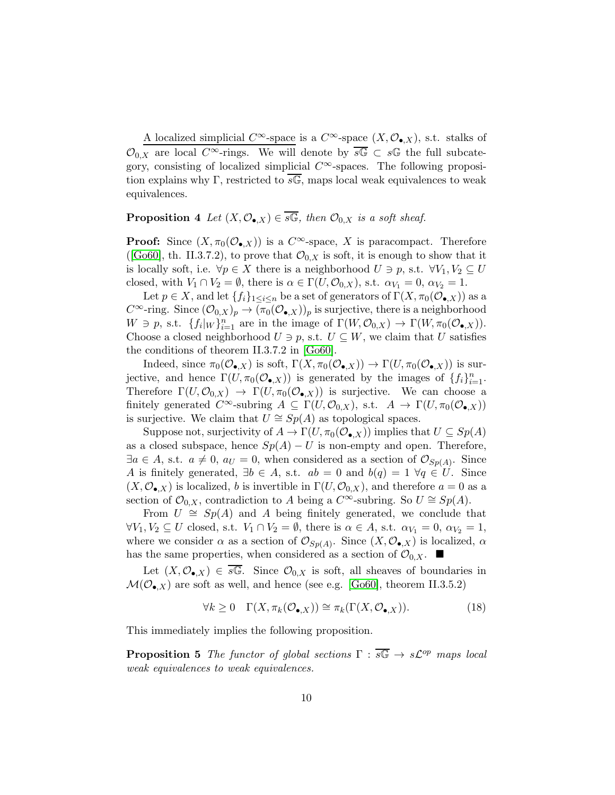A localized simplicial  $C^{\infty}$ -space is a  $C^{\infty}$ -space  $(X, \mathcal{O}_{\bullet,X})$ , s.t. stalks of  $\mathcal{O}_{0,X}$  are local  $C^{\infty}$ -rings. We will denote by  $\overline{s\mathbb{G}} \subset s\mathbb{G}$  the full subcategory, consisting of localized simplicial  $C^{\infty}$ -spaces. The following proposition explains why Γ, restricted to  $\overline{s\mathbb{G}}$ , maps local weak equivalences to weak equivalences.

### **Proposition 4** Let  $(X, \mathcal{O}_{\bullet, X}) \in s\overline{\mathbb{G}}$ , then  $\mathcal{O}_{0,X}$  is a soft sheaf.

**Proof:** Since  $(X, \pi_0(\mathcal{O}_{\bullet,X}))$  is a  $C^{\infty}$ -space, X is paracompact. Therefore ([\[Go60\]](#page-22-11), th. II.3.7.2), to prove that  $\mathcal{O}_{0,X}$  is soft, it is enough to show that it is locally soft, i.e.  $\forall p \in X$  there is a neighborhood  $U \ni p$ , s.t.  $\forall V_1, V_2 \subseteq U$ closed, with  $V_1 \cap V_2 = \emptyset$ , there is  $\alpha \in \Gamma(U, \mathcal{O}_{0,X})$ , s.t.  $\alpha_{V_1} = 0$ ,  $\alpha_{V_2} = 1$ .

Let  $p \in X$ , and let  $\{f_i\}_{1 \leq i \leq n}$  be a set of generators of  $\Gamma(X, \pi_0(\mathcal{O}_{\bullet, X}))$  as a  $C^{\infty}$ -ring. Since  $(\mathcal{O}_{0,X})_p \to (\pi_0(\mathcal{O}_{\bullet,X}))_p$  is surjective, there is a neighborhood  $W \ni p$ , s.t.  $\{f_i|_W\}_{i=1}^n$  are in the image of  $\Gamma(W, \mathcal{O}_{0,X}) \to \Gamma(W, \pi_0(\mathcal{O}_{\bullet,X}))$ . Choose a closed neighborhood  $U \ni p$ , s.t.  $U \subseteq W$ , we claim that U satisfies the conditions of theorem II.3.7.2 in [\[Go60\]](#page-22-11).

Indeed, since  $\pi_0(\mathcal{O}_{\bullet,X})$  is soft,  $\Gamma(X,\pi_0(\mathcal{O}_{\bullet,X})) \to \Gamma(U,\pi_0(\mathcal{O}_{\bullet,X}))$  is surjective, and hence  $\Gamma(U, \pi_0(\mathcal{O}_{\bullet,X}))$  is generated by the images of  $\{f_i\}_{i=1}^n$ . Therefore  $\Gamma(U, \mathcal{O}_{0,X}) \to \Gamma(U, \pi_0(\mathcal{O}_{\bullet,X}))$  is surjective. We can choose a finitely generated  $C^{\infty}$ -subring  $A \subseteq \Gamma(U, \mathcal{O}_{0,X})$ , s.t.  $A \to \Gamma(U, \pi_0(\mathcal{O}_{\bullet,X}))$ is surjective. We claim that  $U \cong Sp(A)$  as topological spaces.

Suppose not, surjectivity of  $A \to \Gamma(U, \pi_0(\mathcal{O}_{\bullet,X}))$  implies that  $U \subseteq Sp(A)$ as a closed subspace, hence  $Sp(A) - U$  is non-empty and open. Therefore,  $\exists a \in A$ , s.t.  $a \neq 0$ ,  $a_U = 0$ , when considered as a section of  $\mathcal{O}_{Sp(A)}$ . Since A is finitely generated,  $\exists b \in A$ , s.t.  $ab = 0$  and  $b(q) = 1 \ \forall q \in U$ . Since  $(X, \mathcal{O}_{\bullet,X})$  is localized, b is invertible in  $\Gamma(U, \mathcal{O}_{0,X})$ , and therefore  $a = 0$  as a section of  $\mathcal{O}_{0,X}$ , contradiction to A being a  $C^{\infty}$ -subring. So  $U \cong Sp(A)$ .

From  $U \cong Sp(A)$  and A being finitely generated, we conclude that  $\forall V_1, V_2 \subseteq U$  closed, s.t.  $V_1 \cap V_2 = \emptyset$ , there is  $\alpha \in A$ , s.t.  $\alpha_{V_1} = 0$ ,  $\alpha_{V_2} = 1$ , where we consider  $\alpha$  as a section of  $\mathcal{O}_{Sp(A)}$ . Since  $(X, \mathcal{O}_{\bullet, X})$  is localized,  $\alpha$ has the same properties, when considered as a section of  $\mathcal{O}_{0,X}$ .

Let  $(X, \mathcal{O}_{\bullet, X}) \in s\mathbb{G}$ . Since  $\mathcal{O}_{0,X}$  is soft, all sheaves of boundaries in  $\mathcal{M}(\mathcal{O}_{\bullet,X})$  are soft as well, and hence (see e.g. [\[Go60\]](#page-22-11), theorem II.3.5.2)

<span id="page-9-1"></span>
$$
\forall k \ge 0 \quad \Gamma(X, \pi_k(\mathcal{O}_{\bullet, X})) \cong \pi_k(\Gamma(X, \mathcal{O}_{\bullet, X})). \tag{18}
$$

<span id="page-9-0"></span>This immediately implies the following proposition.

**Proposition 5** The functor of global sections  $\Gamma : \overline{s} \mathbb{G} \to s\mathcal{L}^{op}$  maps local weak equivalences to weak equivalences.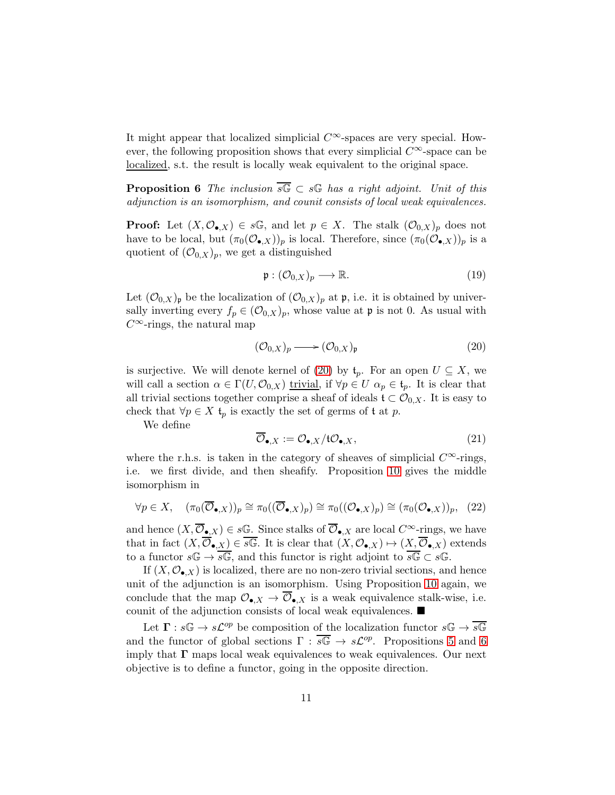It might appear that localized simplicial  $C^{\infty}$ -spaces are very special. However, the following proposition shows that every simplicial  $C^{\infty}$ -space can be localized, s.t. the result is locally weak equivalent to the original space.

<span id="page-10-1"></span>**Proposition 6** The inclusion  $\overline{s}\overline{\mathbb{G}} \subset s\mathbb{G}$  has a right adjoint. Unit of this adjunction is an isomorphism, and counit consists of local weak equivalences.

**Proof:** Let  $(X, \mathcal{O}_{\bullet, X}) \in s\mathbb{G}$ , and let  $p \in X$ . The stalk  $(\mathcal{O}_{0,X})_p$  does not have to be local, but  $(\pi_0(\mathcal{O}_{\bullet,X}))_p$  is local. Therefore, since  $(\pi_0(\mathcal{O}_{\bullet,X}))_p$  is a quotient of  $(\mathcal{O}_{0,X})_p$ , we get a distinguished

$$
\mathfrak{p}: (\mathcal{O}_{0,X})_p \longrightarrow \mathbb{R}.\tag{19}
$$

Let  $(\mathcal{O}_{0,X})_{\mathfrak{p}}$  be the localization of  $(\mathcal{O}_{0,X})_{p}$  at  $\mathfrak{p}$ , i.e. it is obtained by universally inverting every  $f_p \in (O_{0,X})_p$ , whose value at  $\mathfrak p$  is not 0. As usual with  $C^{\infty}$ -rings, the natural map

<span id="page-10-0"></span>
$$
(\mathcal{O}_{0,X})_p \longrightarrow (\mathcal{O}_{0,X})_\mathfrak{p} \tag{20}
$$

is surjective. We will denote kernel of [\(20\)](#page-10-0) by  $\mathfrak{t}_p$ . For an open  $U \subseteq X$ , we will call a section  $\alpha \in \Gamma(U, \mathcal{O}_{0,X})$  trivial, if  $\forall p \in U$   $\alpha_p \in \mathfrak{t}_p$ . It is clear that all trivial sections together comprise a sheaf of ideals  $\mathfrak{t} \subset \mathcal{O}_{0,X}$ . It is easy to check that  $\forall p \in X$  t<sub>p</sub> is exactly the set of germs of t at p.

We define

$$
\overline{\mathcal{O}}_{\bullet,X} := \mathcal{O}_{\bullet,X}/\mathfrak{t}\mathcal{O}_{\bullet,X},\tag{21}
$$

where the r.h.s. is taken in the category of sheaves of simplicial  $C^{\infty}$ -rings, i.e. we first divide, and then sheafify. Proposition [10](#page-14-0) gives the middle isomorphism in

$$
\forall p \in X, \quad (\pi_0(\overline{\mathcal{O}}_{\bullet,X}))_p \cong \pi_0((\overline{\mathcal{O}}_{\bullet,X})_p) \cong \pi_0((\mathcal{O}_{\bullet,X})_p) \cong (\pi_0(\mathcal{O}_{\bullet,X}))_p, \tag{22}
$$

and hence  $(X, \overline{\mathcal{O}}_{\bullet,X}) \in s\mathbb{G}$ . Since stalks of  $\overline{\mathcal{O}}_{\bullet,X}$  are local  $C^{\infty}$ -rings, we have that in fact  $(X, \overline{\mathcal{O}}_{\bullet,X}) \in \overline{s\mathbb{G}}$ . It is clear that  $(X, \mathcal{O}_{\bullet,X}) \mapsto (X, \overline{\mathcal{O}}_{\bullet,X})$  extends to a functor  $s\mathbb{G} \to \overline{s\mathbb{G}}$ , and this functor is right adjoint to  $\overline{s\mathbb{G}} \subset s\mathbb{G}$ .

If  $(X, \mathcal{O}_{\bullet, X})$  is localized, there are no non-zero trivial sections, and hence unit of the adjunction is an isomorphism. Using Proposition [10](#page-14-0) again, we conclude that the map  $\mathcal{O}_{\bullet,X} \to \overline{\mathcal{O}}_{\bullet,X}$  is a weak equivalence stalk-wise, i.e. counit of the adjunction consists of local weak equivalences.

Let  $\Gamma: s\mathbb{G} \to s\mathcal{L}^{op}$  be composition of the localization functor  $s\mathbb{G} \to \overline{s\mathbb{G}}$ and the functor of global sections  $\Gamma : \overline{s\mathbb{G}} \to s\mathcal{L}^{op}$ . Propositions [5](#page-9-0) and [6](#page-10-1) imply that  $\Gamma$  maps local weak equivalences to weak equivalences. Our next objective is to define a functor, going in the opposite direction.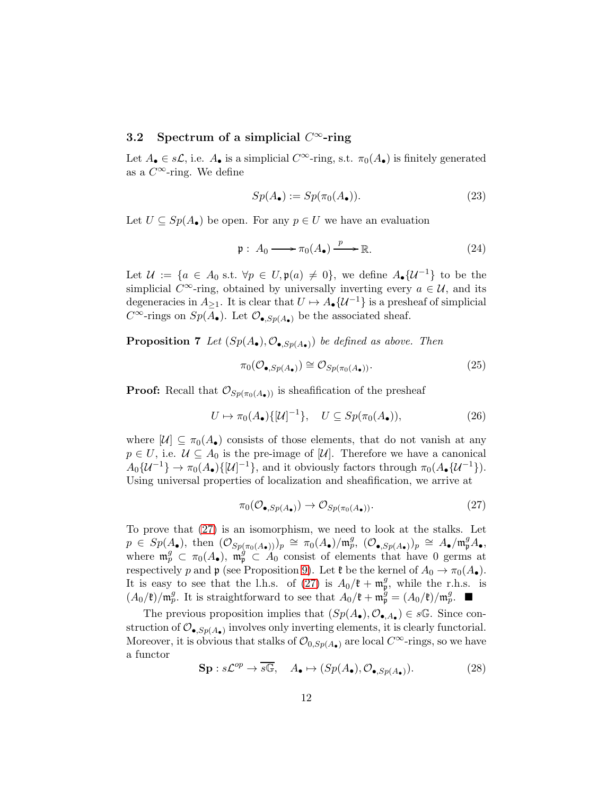## <span id="page-11-0"></span>3.2 Spectrum of a simplicial  $C^{\infty}$ -ring

Let  $A_{\bullet} \in s\mathcal{L}$ , i.e.  $A_{\bullet}$  is a simplicial  $C^{\infty}$ -ring, s.t.  $\pi_0(A_{\bullet})$  is finitely generated as a  $C^{\infty}$ -ring. We define

$$
Sp(A_{\bullet}) := Sp(\pi_0(A_{\bullet})). \tag{23}
$$

Let  $U \subseteq Sp(A_{\bullet})$  be open. For any  $p \in U$  we have an evaluation

$$
\mathfrak{p}: A_0 \longrightarrow \pi_0(A_{\bullet}) \xrightarrow{p} \mathbb{R}.
$$
 (24)

Let  $\mathcal{U} := \{a \in A_0 \text{ s.t. } \forall p \in U, \mathfrak{p}(a) \neq 0\}$ , we define  $A_{\bullet} \{\mathcal{U}^{-1}\}\$  to be the simplicial  $C^{\infty}$ -ring, obtained by universally inverting every  $a \in \mathcal{U}$ , and its degeneracies in  $A_{\geq 1}$ . It is clear that  $U \mapsto A_{\bullet} \{U^{-1}\}\$ is a presheaf of simplicial  $C^{\infty}$ -rings on  $Sp(A_{\bullet})$ . Let  $\mathcal{O}_{\bullet,Sp(A_{\bullet})}$  be the associated sheaf.

**Proposition 7** Let  $(Sp(A_{\bullet}), \mathcal{O}_{\bullet, Sp(A_{\bullet})})$  be defined as above. Then

$$
\pi_0(\mathcal{O}_{\bullet, Sp(A_{\bullet})}) \cong \mathcal{O}_{Sp(\pi_0(A_{\bullet}))}.\tag{25}
$$

**Proof:** Recall that  $\mathcal{O}_{Sp(\pi_0(A_{\bullet}))}$  is sheafification of the presheaf

$$
U \mapsto \pi_0(A_{\bullet})\{[\mathcal{U}]^{-1}\}, \quad U \subseteq Sp(\pi_0(A_{\bullet})), \tag{26}
$$

where  $[\mathcal{U}] \subseteq \pi_0(A_{\bullet})$  consists of those elements, that do not vanish at any  $p \in U$ , i.e.  $\mathcal{U} \subseteq A_0$  is the pre-image of  $[\mathcal{U}]$ . Therefore we have a canonical  $A_0\{\mathcal{U}^{-1}\}\to \pi_0(A_\bullet)\{\mathcal{U}^{-1}\},\$ and it obviously factors through  $\pi_0(A_\bullet\{\mathcal{U}^{-1}\}).$ Using universal properties of localization and sheafification, we arrive at

<span id="page-11-1"></span>
$$
\pi_0(\mathcal{O}_{\bullet, Sp(A_{\bullet})}) \to \mathcal{O}_{Sp(\pi_0(A_{\bullet}))}. \tag{27}
$$

To prove that [\(27\)](#page-11-1) is an isomorphism, we need to look at the stalks. Let  $p \in Sp(A_{\bullet}), \text{ then } (\mathcal{O}_{Sp(\pi_0(A_{\bullet})))p} \cong \pi_0(A_{\bullet})/\mathfrak{m}_{p}^g, \ (\mathcal{O}_{\bullet,Sp(A_{\bullet})})p} \cong A_{\bullet}/\mathfrak{m}_{p}^gA_{\bullet},$ where  $\mathfrak{m}_p^g \subset \pi_0(A_{\bullet}), \mathfrak{m}_p^g \subset A_0$  consist of elements that have 0 germs at respectively p and p (see Proposition [9\)](#page-13-0). Let  $\mathfrak k$  be the kernel of  $A_0 \to \pi_0(A_{\bullet})$ . It is easy to see that the l.h.s. of [\(27\)](#page-11-1) is  $A_0/\mathfrak{k} + \mathfrak{m}_{\mathfrak{p}}^g$ , while the r.h.s. is  $(A_0/\mathfrak{k})/\mathfrak{m}_p^g$ . It is straightforward to see that  $A_0/\mathfrak{k} + \mathfrak{m}_p^g = (A_0/\mathfrak{k})/\mathfrak{m}_p^g$ .

The previous proposition implies that  $(Sp(A_{\bullet}), \mathcal{O}_{\bullet,A_{\bullet}}) \in s\mathbb{G}$ . Since construction of  $\mathcal{O}_{\bullet, Sp(A_{\bullet})}$  involves only inverting elements, it is clearly functorial. Moreover, it is obvious that stalks of  $\mathcal{O}_{0,Sp(A_{\bullet})}$  are local  $C^{\infty}$ -rings, so we have a functor

$$
\mathbf{Sp}: s\mathcal{L}^{op} \to \overline{s\mathbb{G}}, \quad A_{\bullet} \mapsto (Sp(A_{\bullet}), \mathcal{O}_{\bullet, Sp(A_{\bullet})}). \tag{28}
$$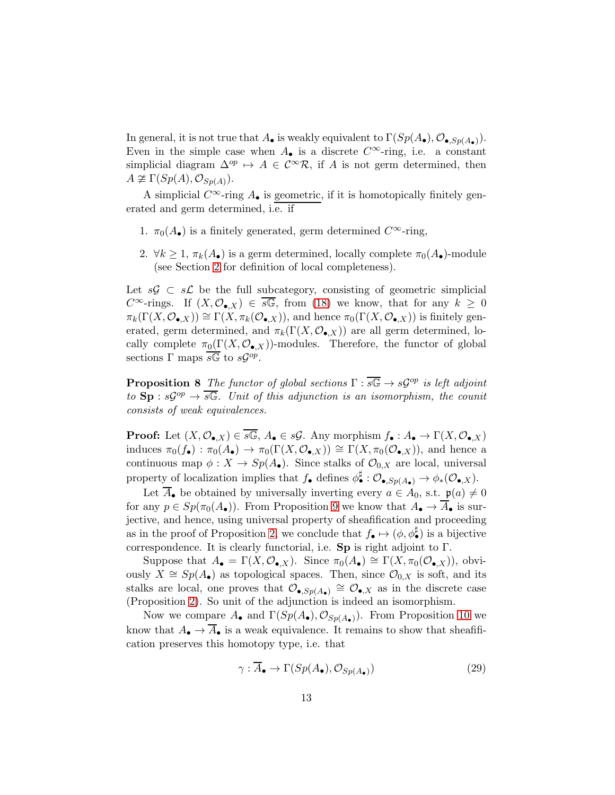In general, it is not true that  $A_{\bullet}$  is weakly equivalent to  $\Gamma(Sp(A_{\bullet}), \mathcal{O}_{\bullet, Sp(A_{\bullet})}).$ Even in the simple case when  $A_{\bullet}$  is a discrete  $C^{\infty}$ -ring, i.e. a constant simplicial diagram  $\Delta^{op} \mapsto A \in \mathcal{C}^{\infty} \mathcal{R}$ , if A is not germ determined, then  $A \ncong \Gamma(Sp(A), \mathcal{O}_{Sp(A)})$ .

A simplicial  $C^{\infty}$ -ring  $A_{\bullet}$  is geometric, if it is homotopically finitely generated and germ determined, i.e. if

- 1.  $\pi_0(A_{\bullet})$  is a finitely generated, germ determined  $C^{\infty}$ -ring,
- 2.  $\forall k \geq 1, \pi_k(A_{\bullet})$  is a germ determined, locally complete  $\pi_0(A_{\bullet})$ -module (see Section [2](#page-3-0) for definition of local completeness).

Let  $sG \subset sC$  be the full subcategory, consisting of geometric simplicial  $C^{\infty}$ -rings. If  $(X, \mathcal{O}_{\bullet, X}) \in \overline{s\mathbb{G}}$ , from [\(18\)](#page-9-1) we know, that for any  $k \geq 0$  $\pi_k(\Gamma(X, \mathcal{O}_{\bullet,X})) \cong \Gamma(X, \pi_k(\mathcal{O}_{\bullet,X}))$ , and hence  $\pi_0(\Gamma(X, \mathcal{O}_{\bullet,X}))$  is finitely generated, germ determined, and  $\pi_k(\Gamma(X, \mathcal{O}_{\bullet, X}))$  are all germ determined, locally complete  $\pi_0(\Gamma(X, \mathcal{O}_{\bullet,X}))$ -modules. Therefore, the functor of global sections  $\Gamma$  maps  $\overline{s\mathbb{G}}$  to  $s\mathcal{G}^{op}$ .

**Proposition 8** The functor of global sections  $\Gamma : \overline{s\mathbb{G}} \to s\mathcal{G}^{op}$  is left adjoint to  $\text{Sp}: \mathcal{SG}^{op} \to \overline{\mathcal{SG}}$ . Unit of this adjunction is an isomorphism, the counit consists of weak equivalences.

**Proof:** Let  $(X, \mathcal{O}_{\bullet,X}) \in \overline{s\mathbb{G}}, A_{\bullet} \in s\mathcal{G}$ . Any morphism  $f_{\bullet}: A_{\bullet} \to \Gamma(X, \mathcal{O}_{\bullet,X})$ induces  $\pi_0(f_\bullet): \pi_0(A_\bullet) \to \pi_0(\Gamma(X, \mathcal{O}_{\bullet,X})) \cong \Gamma(X, \pi_0(\mathcal{O}_{\bullet,X}))$ , and hence a continuous map  $\phi: X \to Sp(A_{\bullet})$ . Since stalks of  $\mathcal{O}_{0,X}$  are local, universal property of localization implies that  $f_{\bullet}$  defines  $\phi_{\bullet}^{\sharp}: \mathcal{O}_{\bullet, Sp(A_{\bullet})} \to \phi_{*}(\mathcal{O}_{\bullet, X}).$ 

Let  $\overline{A}_{\bullet}$  be obtained by universally inverting every  $a \in A_0$ , s.t.  $\mathfrak{p}(a) \neq 0$ for any  $p \in Sp(\pi_0(A_{\bullet}))$ . From Proposition [9](#page-13-0) we know that  $A_{\bullet} \to A_{\bullet}$  is surjective, and hence, using universal property of sheafification and proceeding as in the proof of Proposition [2,](#page-6-0) we conclude that  $f_{\bullet} \mapsto (\phi, \phi_{\bullet}^{\sharp})$  is a bijective correspondence. It is clearly functorial, i.e.  $Sp$  is right adjoint to  $\Gamma$ .

Suppose that  $A_{\bullet} = \Gamma(X, \mathcal{O}_{\bullet,X})$ . Since  $\pi_0(A_{\bullet}) \cong \Gamma(X, \pi_0(\mathcal{O}_{\bullet,X}))$ , obviously  $X \cong Sp(A_{\bullet})$  as topological spaces. Then, since  $\mathcal{O}_{0,X}$  is soft, and its stalks are local, one proves that  $\mathcal{O}_{\bullet, Sp(A_{\bullet})} \cong \mathcal{O}_{\bullet, X}$  as in the discrete case (Proposition [2\)](#page-6-0). So unit of the adjunction is indeed an isomorphism.

Now we compare  $A_{\bullet}$  and  $\Gamma(Sp(A_{\bullet}), \mathcal{O}_{Sp(A_{\bullet})})$ . From Proposition [10](#page-14-0) we know that  $A_{\bullet} \to \overline{A}_{\bullet}$  is a weak equivalence. It remains to show that sheafification preserves this homotopy type, i.e. that

$$
\gamma : \overline{A}_{\bullet} \to \Gamma(Sp(A_{\bullet}), \mathcal{O}_{Sp(A_{\bullet})}) \tag{29}
$$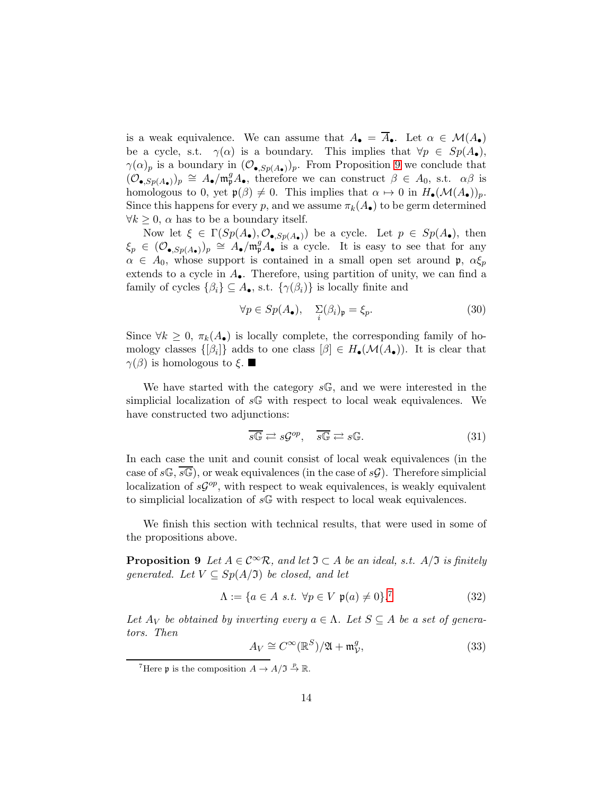is a weak equivalence. We can assume that  $A_{\bullet} = \overline{A}_{\bullet}$ . Let  $\alpha \in \mathcal{M}(A_{\bullet})$ be a cycle, s.t.  $\gamma(\alpha)$  is a boundary. This implies that  $\forall p \in Sp(A_{\bullet}),$  $\gamma(\alpha)_p$  is a boundary in  $(\mathcal{O}_{\bullet, Sp(A_{\bullet})})_p$ . From Proposition [9](#page-13-0) we conclude that  $(\mathcal{O}_{\bullet,Sp(A_{\bullet})})_p \cong A_{\bullet}/\mathfrak{m}_{p}^g A_{\bullet}$ , therefore we can construct  $\beta \in A_0$ , s.t.  $\alpha\beta$  is homologous to 0, yet  $\mathfrak{p}(\beta) \neq 0$ . This implies that  $\alpha \mapsto 0$  in  $H_{\bullet}(\mathcal{M}(A_{\bullet}))_p$ . Since this happens for every p, and we assume  $\pi_k(A_{\bullet})$  to be germ determined  $\forall k \geq 0$ ,  $\alpha$  has to be a boundary itself.

Now let  $\xi \in \Gamma(Sp(A_{\bullet}), \mathcal{O}_{\bullet, Sp(A_{\bullet})})$  be a cycle. Let  $p \in Sp(A_{\bullet}),$  then  $\xi_p \in (\mathcal{O}_{\bullet, Sp(A_{\bullet})})_p \cong A_{\bullet}/\mathfrak{m}_{p}^g A_{\bullet}$  is a cycle. It is easy to see that for any  $\alpha \in A_0$ , whose support is contained in a small open set around p,  $\alpha \xi_p$ extends to a cycle in  $A_{\bullet}$ . Therefore, using partition of unity, we can find a family of cycles  $\{\beta_i\} \subseteq A_{\bullet}$ , s.t.  $\{\gamma(\beta_i)\}\$ is locally finite and

$$
\forall p \in Sp(A_{\bullet}), \quad \sum_{i} (\beta_{i})_{\mathfrak{p}} = \xi_{p}.
$$
 (30)

Since  $\forall k \geq 0, \pi_k(A_{\bullet})$  is locally complete, the corresponding family of homology classes  $\{[\beta_i]\}\$ adds to one class  $[\beta] \in H_{\bullet}(\mathcal{M}(A_{\bullet}))$ . It is clear that  $\gamma(\beta)$  is homologous to  $\xi$ .

We have started with the category  $s\mathbb{G}$ , and we were interested in the simplicial localization of sG with respect to local weak equivalences. We have constructed two adjunctions:

$$
\overline{s\mathbb{G}} \rightleftarrows s\mathcal{G}^{op}, \quad \overline{s\mathbb{G}} \rightleftarrows s\mathbb{G}.\tag{31}
$$

In each case the unit and counit consist of local weak equivalences (in the case of  $s\mathbb{G}, s\mathbb{G}$ , or weak equivalences (in the case of  $s\mathcal{G}$ ). Therefore simplicial localization of  $s\mathcal{G}^{op}$ , with respect to weak equivalences, is weakly equivalent to simplicial localization of sG with respect to local weak equivalences.

<span id="page-13-0"></span>We finish this section with technical results, that were used in some of the propositions above.

**Proposition 9** Let  $A \in \mathcal{C}^{\infty} \mathcal{R}$ , and let  $\mathfrak{I} \subset A$  be an ideal, s.t.  $A/\mathfrak{I}$  is finitely generated. Let  $V \subseteq Sp(A/\mathfrak{I})$  be closed, and let

$$
\Lambda := \{ a \in A \text{ s.t. } \forall p \in V \text{ } \mathfrak{p}(a) \neq 0 \}.^7
$$
 (32)

Let  $A_V$  be obtained by inverting every  $a \in \Lambda$ . Let  $S \subseteq A$  be a set of generators. Then

$$
A_V \cong C^{\infty}(\mathbb{R}^S)/\mathfrak{A} + \mathfrak{m}_V^g, \tag{33}
$$

<span id="page-13-1"></span><sup>&</sup>lt;sup>7</sup>Here **p** is the composition  $A \to A/\mathfrak{I} \stackrel{p}{\to} \mathbb{R}$ .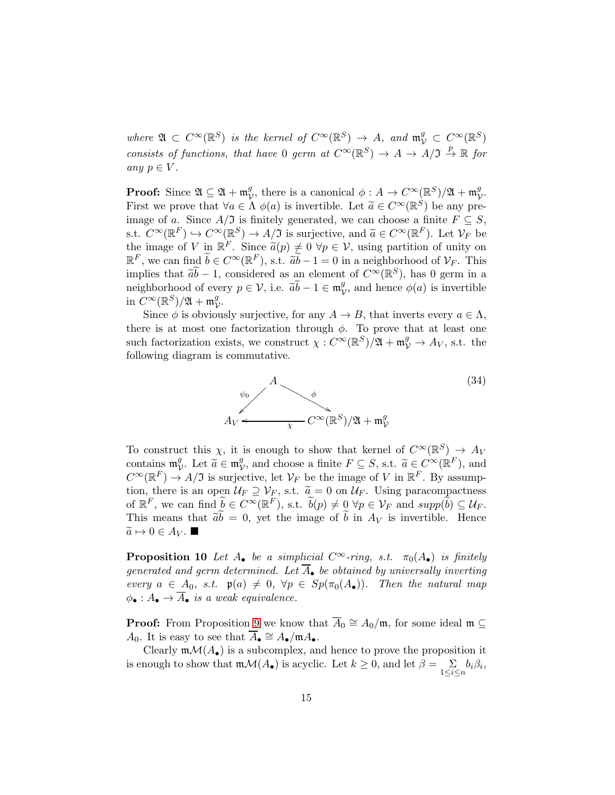where  $\mathfrak{A} \subset C^{\infty}(\mathbb{R}^S)$  is the kernel of  $C^{\infty}(\mathbb{R}^S) \to A$ , and  $\mathfrak{m}_{\mathcal{V}}^g \subset C^{\infty}(\mathbb{R}^S)$ consists of functions, that have 0 germ at  $C^{\infty}(\mathbb{R}^S) \to A \to A/\mathfrak{I} \stackrel{p}{\to} \mathbb{R}$  for any  $p \in V$ .

**Proof:** Since  $\mathfrak{A} \subseteq \mathfrak{A} + \mathfrak{m}_1^g$ <sup>g</sup>, there is a canonical  $\phi: A \to C^{\infty}(\mathbb{R}^S)/\mathfrak{A} + \mathfrak{m}_1^g$  $_{\mathcal{V}}^{g}.$ First we prove that  $\forall a \in \Lambda \phi(a)$  is invertible. Let  $\widetilde{a} \in C^{\infty}(\mathbb{R}^S)$  be any preimage of a. Since  $A/\mathfrak{I}$  is finitely generated, we can choose a finite  $F \subseteq S$ , s.t.  $C^{\infty}(\mathbb{R}^F) \hookrightarrow C^{\infty}(\mathbb{R}^S) \rightarrow A/\mathfrak{I}$  is surjective, and  $\widetilde{a} \in C^{\infty}(\mathbb{R}^F)$ . Let  $\mathcal{V}_F$  be the image of V in  $\mathbb{R}^F$ . Since  $\tilde{a}(p) \neq 0 \ \forall p \in V$ , using partition of unity on  $\mathbb{R}^F$ , we can find  $\widetilde{b} \in C^\infty(\mathbb{R}^F)$ , s.t.  $\widetilde{ab} - 1 = 0$  in a neighborhood of  $\mathcal{V}_F$ . This implies that  $\widetilde{ab} - 1$ , considered as an element of  $C^{\infty}(\mathbb{R}^S)$ , has 0 germ in a neighborhood of every  $p \in V$ , i.e.  $\widetilde{ab} - 1 \in \mathfrak{m}_{\mathcal{V}}^g$  $\mathcal{Y}$ , and hence  $\phi(a)$  is invertible in  $C^{\infty}(\mathbb{R}^S)/\mathfrak{A}+\mathfrak{m}^g_{\mathfrak{t}}$  $_{\mathcal{V}}^{g}.$ 

Since  $\phi$  is obviously surjective, for any  $A \to B$ , that inverts every  $a \in \Lambda$ , there is at most one factorization through  $\phi$ . To prove that at least one such factorization exists, we construct  $\chi: C^{\infty}(\mathbb{R}^S)/\mathfrak{A} + \mathfrak{m}_V^g \to A_V$ , s.t. the following diagram is commutative.



To construct this  $\chi$ , it is enough to show that kernel of  $C^{\infty}(\mathbb{R}^S) \to A_V$ contains  $\mathfrak{m}_1^g$  $y^g$ . Let  $\widetilde{a} \in \mathfrak{m}_1^g$ y, and choose a finite  $F \subseteq S$ , s.t.  $\widetilde{a} \in C^{\infty}(\mathbb{R}^F)$ , and  $C^{\infty}(\mathbb{R}^F) \to A/\mathfrak{I}$  is surjective, let  $\mathcal{V}_F$  be the image of V in  $\mathbb{R}^F$ . By assumption, there is an open  $\mathcal{U}_F \supseteq \mathcal{V}_F$ , s.t.  $\tilde{a} = 0$  on  $\mathcal{U}_F$ . Using paracompactness of  $\mathbb{R}^F$ , we can find  $\widetilde{b} \in C^{\infty}(\mathbb{R}^F)$ , s.t.  $\widetilde{b}(p) \neq 0 \ \forall p \in \mathcal{V}_F$  and  $supp(\widetilde{b}) \subseteq \mathcal{U}_F$ . This means that  $\tilde{a}b = 0$ , yet the image of b in  $A_V$  is invertible. Hence  $\widetilde{a} \mapsto 0 \in A_V$ .

<span id="page-14-0"></span>**Proposition 10** Let  $A_{\bullet}$  be a simplicial  $C^{\infty}$ -ring, s.t.  $\pi_0(A_{\bullet})$  is finitely generated and germ determined. Let  $\overline{A}_{\bullet}$  be obtained by universally inverting every  $a \in A_0$ , s.t.  $\mathfrak{p}(a) \neq 0$ ,  $\forall p \in Sp(\pi_0(A_{\bullet}))$ . Then the natural map  $\phi_{\bullet}: A_{\bullet} \to \overline{A}_{\bullet}$  is a weak equivalence.

**Proof:** From Proposition [9](#page-13-0) we know that  $\overline{A}_0 \cong A_0/\mathfrak{m}$ , for some ideal  $\mathfrak{m} \subseteq$  $A_0$ . It is easy to see that  $\overline{A}_{\bullet} \cong A_{\bullet}/\mathfrak{m} A_{\bullet}$ .

Clearly  $m\mathcal{M}(A_{\bullet})$  is a subcomplex, and hence to prove the proposition it is enough to show that  $\mathfrak{m} \mathcal{M}(A_{\bullet})$  is acyclic. Let  $k \geq 0$ , and let  $\beta = \sum\limits_{1 \leq i \leq n} b_i \beta_i$ ,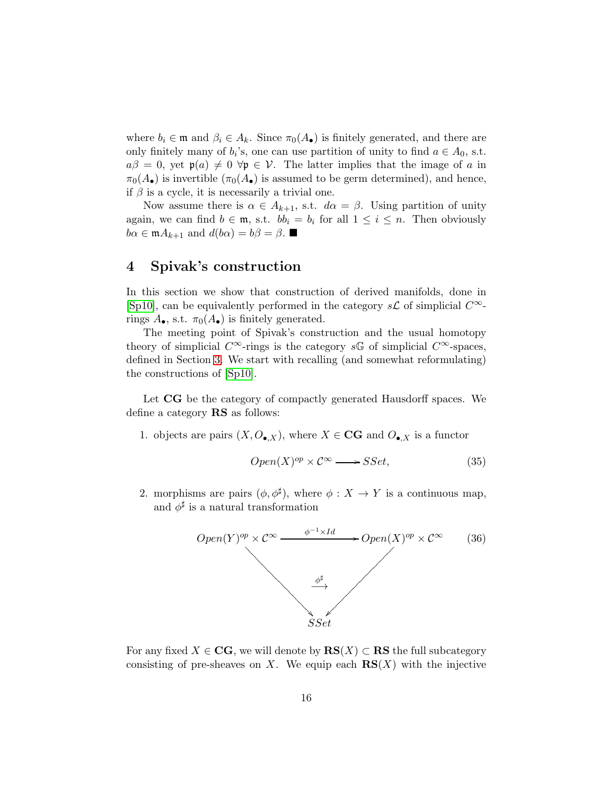where  $b_i \in \mathfrak{m}$  and  $\beta_i \in A_k$ . Since  $\pi_0(A_{\bullet})$  is finitely generated, and there are only finitely many of  $b_i$ 's, one can use partition of unity to find  $a \in A_0$ , s.t.  $a\beta = 0$ , yet  $\mathfrak{p}(a) \neq 0 \ \forall \mathfrak{p} \in \mathcal{V}$ . The latter implies that the image of a in  $\pi_0(A_{\bullet})$  is invertible  $(\pi_0(A_{\bullet}))$  is assumed to be germ determined), and hence, if  $\beta$  is a cycle, it is necessarily a trivial one.

Now assume there is  $\alpha \in A_{k+1}$ , s.t.  $d\alpha = \beta$ . Using partition of unity again, we can find  $b \in \mathfrak{m}$ , s.t.  $bb_i = b_i$  for all  $1 \leq i \leq n$ . Then obviously  $b\alpha \in \mathfrak{m}A_{k+1}$  and  $d(b\alpha) = b\beta = \beta$ .

## <span id="page-15-0"></span>4 Spivak's construction

In this section we show that construction of derived manifolds, done in [\[Sp10\]](#page-22-0), can be equivalently performed in the category  $s\mathcal{L}$  of simplicial  $C^{\infty}$ rings  $A_{\bullet}$ , s.t.  $\pi_0(A_{\bullet})$  is finitely generated.

The meeting point of Spivak's construction and the usual homotopy theory of simplicial  $C^{\infty}$ -rings is the category sG of simplicial  $C^{\infty}$ -spaces, defined in Section [3.](#page-7-0) We start with recalling (and somewhat reformulating) the constructions of [\[Sp10\]](#page-22-0).

Let **CG** be the category of compactly generated Hausdorff spaces. We define a category  $\mathbf{RS}$  as follows:

1. objects are pairs  $(X, O_{\bullet,X})$ , where  $X \in \mathbf{CG}$  and  $O_{\bullet,X}$  is a functor

$$
Open(X)^{op} \times C^{\infty} \longrightarrow SSet,
$$
\n(35)

2. morphisms are pairs  $(\phi, \phi^{\sharp})$ , where  $\phi: X \to Y$  is a continuous map, and  $\phi^{\sharp}$  is a natural transformation



For any fixed  $X \in \mathbf{CG}$ , we will denote by  $\mathbf{RS}(X) \subset \mathbf{RS}$  the full subcategory consisting of pre-sheaves on X. We equip each  $\mathbf{RS}(X)$  with the injective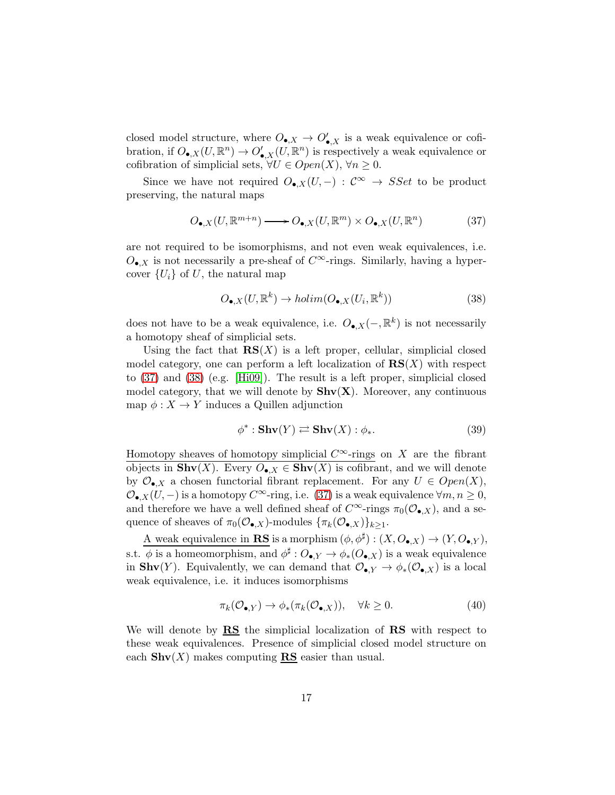closed model structure, where  $O_{\bullet,X} \to O'_{\bullet,X}$  is a weak equivalence or cofibration, if  $O_{\bullet,X}(U,\mathbb{R}^n) \to O'_{\bullet,X}(U,\mathbb{R}^n)$  is respectively a weak equivalence or cofibration of simplicial sets,  $\forall U \in Open(X), \forall n \geq 0.$ 

Since we have not required  $O_{\bullet,X}(U,-): \mathcal{C}^{\infty} \to SSet$  to be product preserving, the natural maps

<span id="page-16-0"></span>
$$
O_{\bullet,X}(U,\mathbb{R}^{m+n})\longrightarrow O_{\bullet,X}(U,\mathbb{R}^m)\times O_{\bullet,X}(U,\mathbb{R}^n)
$$
(37)

are not required to be isomorphisms, and not even weak equivalences, i.e.  $O_{\bullet,X}$  is not necessarily a pre-sheaf of  $C^{\infty}$ -rings. Similarly, having a hypercover  $\{U_i\}$  of U, the natural map

<span id="page-16-1"></span>
$$
O_{\bullet,X}(U,\mathbb{R}^k) \to \text{holim}(O_{\bullet,X}(U_i,\mathbb{R}^k))
$$
\n(38)

does not have to be a weak equivalence, i.e.  $O_{\bullet,X}(-,\mathbb{R}^k)$  is not necessarily a homotopy sheaf of simplicial sets.

Using the fact that  $\mathbf{RS}(X)$  is a left proper, cellular, simplicial closed model category, one can perform a left localization of  $\mathbf{RS}(X)$  with respect to [\(37\)](#page-16-0) and [\(38\)](#page-16-1) (e.g. [\[Hi09\]](#page-22-12)). The result is a left proper, simplicial closed model category, that we will denote by  $\text{Shv}(X)$ . Moreover, any continuous map  $\phi: X \to Y$  induces a Quillen adjunction

$$
\phi^* : \mathbf{Shv}(Y) \rightleftarrows \mathbf{Shv}(X) : \phi_*.
$$
 (39)

Homotopy sheaves of homotopy simplicial  $C^{\infty}$ -rings on X are the fibrant objects in Shv $(X)$ . Every  $O_{\bullet,X} \in \mathbf{Shv}(X)$  is cofibrant, and we will denote by  $\mathcal{O}_{\bullet,X}$  a chosen functorial fibrant replacement. For any  $U \in Open(X)$ ,  $\mathcal{O}_{\bullet,X}(U,-)$  is a homotopy  $C^{\infty}$ -ring, i.e. [\(37\)](#page-16-0) is a weak equivalence  $\forall m,n\geq 0$ , and therefore we have a well defined sheaf of  $C^{\infty}$ -rings  $\pi_0(\mathcal{O}_{\bullet,X})$ , and a sequence of sheaves of  $\pi_0(\mathcal{O}_{\bullet,X})$ -modules  $\{\pi_k(\mathcal{O}_{\bullet,X})\}_{k\geq 1}$ .

A weak equivalence in **RS** is a morphism  $(\phi, \phi^{\sharp}) : (X, O_{\bullet,X}) \to (Y, O_{\bullet,Y}),$ s.t.  $\phi$  is a homeomorphism, and  $\phi^{\sharp}: O_{\bullet,Y} \to \phi_*(O_{\bullet,X})$  is a weak equivalence in Shv(Y). Equivalently, we can demand that  $\mathcal{O}_{\bullet,Y} \to \phi_*(\mathcal{O}_{\bullet,X})$  is a local weak equivalence, i.e. it induces isomorphisms

$$
\pi_k(\mathcal{O}_{\bullet,Y}) \to \phi_*(\pi_k(\mathcal{O}_{\bullet,X})), \quad \forall k \ge 0.
$$
 (40)

<span id="page-16-2"></span>We will denote by  $\overline{RS}$  the simplicial localization of  $\overline{RS}$  with respect to these weak equivalences. Presence of simplicial closed model structure on each  $\textbf{Shv}(X)$  makes computing  $\overline{\textbf{RS}}$  easier than usual.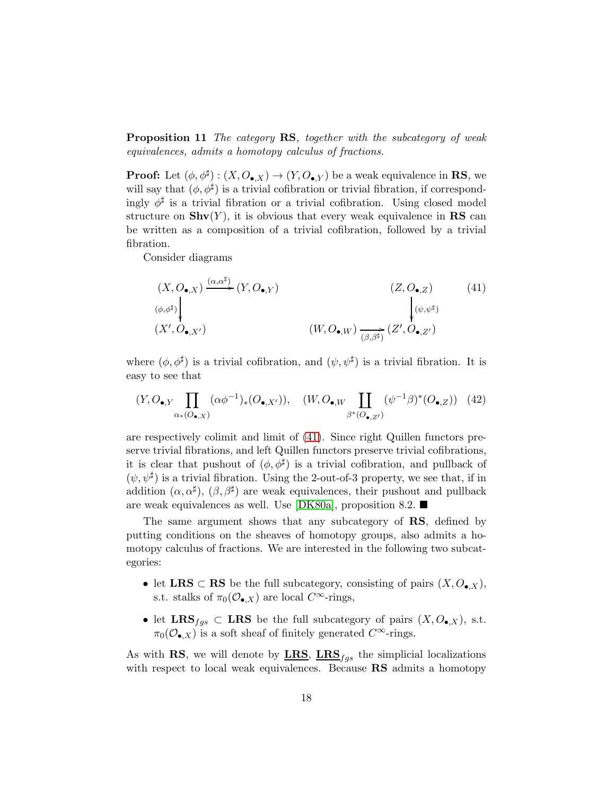**Proposition 11** The category RS, together with the subcategory of weak equivalences, admits a homotopy calculus of fractions.

**Proof:** Let  $(\phi, \phi^{\sharp}) : (X, O_{\bullet,X}) \to (Y, O_{\bullet,Y})$  be a weak equivalence in **RS**, we will say that  $(\phi, \phi^{\sharp})$  is a trivial cofibration or trivial fibration, if correspondingly  $\phi^{\sharp}$  is a trivial fibration or a trivial cofibration. Using closed model structure on  $\text{Shv}(Y)$ , it is obvious that every weak equivalence in RS can be written as a composition of a trivial cofibration, followed by a trivial fibration.

Consider diagrams

<span id="page-17-0"></span>
$$
(X, O_{\bullet,X}) \xrightarrow{(\alpha, \alpha^{\sharp})} (Y, O_{\bullet,Y})
$$
\n
$$
(Z, O_{\bullet,Z})
$$
\n
$$
(Z, O_{\bullet,Z})
$$
\n
$$
(W, O_{\bullet,W}) \xrightarrow{(\psi, \psi^{\sharp})} (Z', O_{\bullet,Z'})
$$
\n
$$
(41)
$$
\n
$$
(W, O_{\bullet,W}) \xrightarrow{(\beta, \beta^{\sharp})} (Z', O_{\bullet,Z'})
$$

where  $(\phi, \phi^{\sharp})$  is a trivial cofibration, and  $(\psi, \psi^{\sharp})$  is a trivial fibration. It is easy to see that

$$
(Y,O_{\bullet,Y}\prod_{\alpha_{*}(O_{\bullet,X})}(\alpha\phi^{-1})_{*}(O_{\bullet,X'})),\quad (W,O_{\bullet,W}\coprod_{\beta^{*}(O_{\bullet,Z'})}(\psi^{-1}\beta)^{*}(O_{\bullet,Z}))\quad (42)
$$

are respectively colimit and limit of [\(41\)](#page-17-0). Since right Quillen functors preserve trivial fibrations, and left Quillen functors preserve trivial cofibrations, it is clear that pushout of  $(\phi, \phi^{\sharp})$  is a trivial cofibration, and pullback of  $(\psi, \psi^{\sharp})$  is a trivial fibration. Using the 2-out-of-3 property, we see that, if in addition  $(\alpha, \alpha^{\sharp}), (\beta, \beta^{\sharp})$  are weak equivalences, their pushout and pullback are weak equivalences as well. Use [\[DK80a\]](#page-21-6), proposition 8.2.  $\blacksquare$ 

The same argument shows that any subcategory of **RS**, defined by putting conditions on the sheaves of homotopy groups, also admits a homotopy calculus of fractions. We are interested in the following two subcategories:

- let LRS  $\subset$  RS be the full subcategory, consisting of pairs  $(X, O_{\bullet,X})$ , s.t. stalks of  $\pi_0(\mathcal{O}_{\bullet,X})$  are local  $C^{\infty}$ -rings,
- let  $\text{LRS}_{fgs} \subset \text{LRS}$  be the full subcategory of pairs  $(X, O_{\bullet,X}),$  s.t.  $\pi_0(\mathcal{O}_{\bullet,X})$  is a soft sheaf of finitely generated  $C^{\infty}$ -rings.

As with RS, we will denote by  $LRS$ ,  $LRS$ <sub>fas</sub> the simplicial localizations with respect to local weak equivalences. Because RS admits a homotopy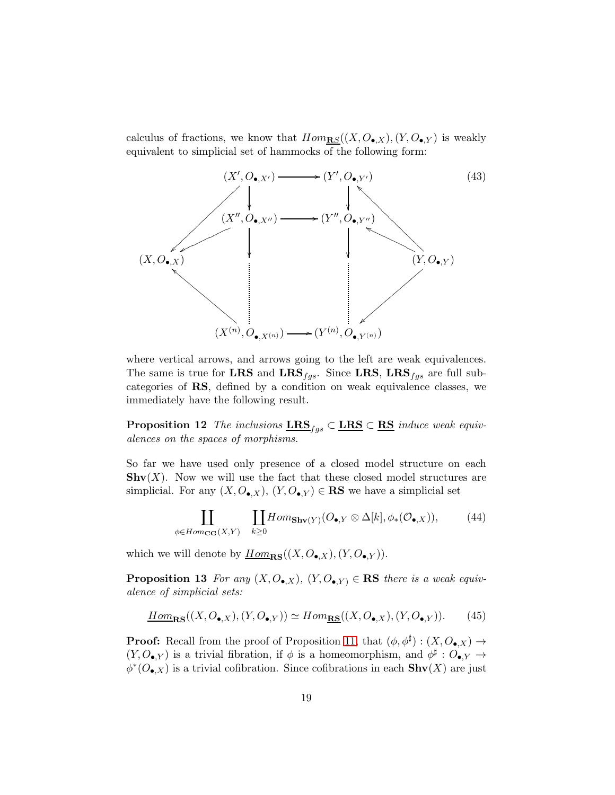calculus of fractions, we know that  $Hom_{\mathbf{R}S}((X,O_{\bullet,X}), (Y,O_{\bullet,Y})$  is weakly equivalent to simplicial set of hammocks of the following form:



where vertical arrows, and arrows going to the left are weak equivalences. The same is true for LRS and LRS  $_{fgs}$ . Since LRS, LRS  $_{fgs}$  are full subcategories of RS, defined by a condition on weak equivalence classes, we immediately have the following result.

**Proposition 12** The inclusions  $\underline{LRS}_{fqs} \subset \underline{LRS} \subset \underline{RS}$  induce weak equivalences on the spaces of morphisms.

So far we have used only presence of a closed model structure on each  $\text{Shv}(X)$ . Now we will use the fact that these closed model structures are simplicial. For any  $(X, O_{\bullet,X}), (Y, O_{\bullet,Y}) \in \mathbf{RS}$  we have a simplicial set

$$
\coprod_{\phi \in Hom_{\mathbf{CG}}(X,Y)} \coprod_{k \ge 0} Hom_{\mathbf{Shv}(Y)}(O_{\bullet,Y} \otimes \Delta[k], \phi_*(\mathcal{O}_{\bullet,X})), \tag{44}
$$

which we will denote by  $\underline{Hom}_{\mathbf{RS}}((X, O_{\bullet,X}), (Y, O_{\bullet,Y})).$ 

**Proposition 13** For any  $(X, O_{\bullet,X})$ ,  $(Y, O_{\bullet,Y}) \in \mathbb{RS}$  there is a weak equivalence of simplicial sets:

$$
\underline{Hom}_{\mathbf{RS}}((X, O_{\bullet, X}), (Y, O_{\bullet, Y})) \simeq Hom_{\mathbf{RS}}((X, O_{\bullet, X}), (Y, O_{\bullet, Y})).
$$
 (45)

**Proof:** Recall from the proof of Proposition [11,](#page-16-2) that  $(\phi, \phi^{\sharp}) : (X, O_{\bullet, X}) \to$  $(Y, O_{\bullet,Y})$  is a trivial fibration, if  $\phi$  is a homeomorphism, and  $\phi^{\sharp}: O_{\bullet,Y} \to$  $\phi^*(O_{\bullet,X})$  is a trivial cofibration. Since cofibrations in each  $\mathbf{Shv}(X)$  are just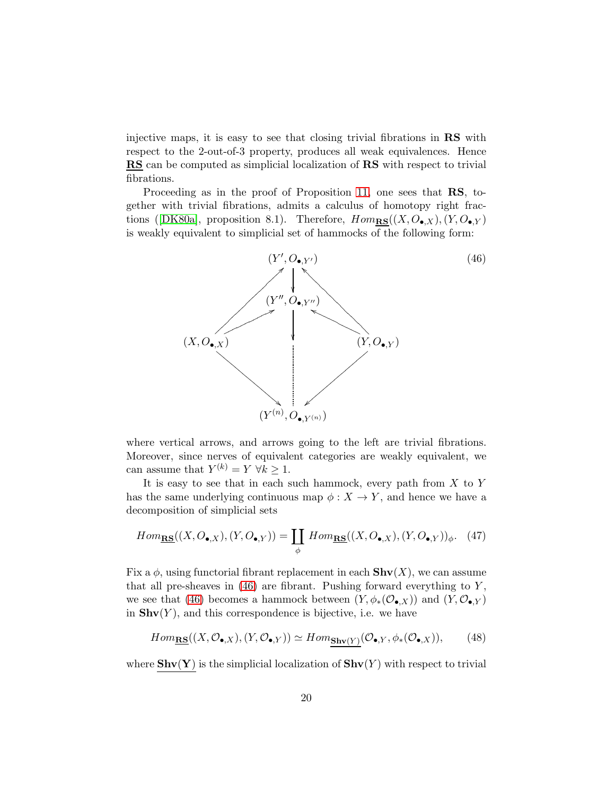injective maps, it is easy to see that closing trivial fibrations in RS with respect to the 2-out-of-3 property, produces all weak equivalences. Hence RS can be computed as simplicial localization of RS with respect to trivial fibrations.

Proceeding as in the proof of Proposition [11,](#page-16-2) one sees that RS, together with trivial fibrations, admits a calculus of homotopy right frac-tions([\[DK80a\]](#page-21-6), proposition 8.1). Therefore,  $Hom_{\mathbf{RS}}((X, O_{\bullet,X}), (Y, O_{\bullet,Y})$ is weakly equivalent to simplicial set of hammocks of the following form:

<span id="page-19-0"></span>

where vertical arrows, and arrows going to the left are trivial fibrations. Moreover, since nerves of equivalent categories are weakly equivalent, we can assume that  $Y^{(k)} = Y \ \forall k \geq 1$ .

It is easy to see that in each such hammock, every path from  $X$  to  $Y$ has the same underlying continuous map  $\phi: X \to Y$ , and hence we have a decomposition of simplicial sets

$$
Hom_{\mathbf{RS}}((X,O_{\bullet,X}),(Y,O_{\bullet,Y})) = \coprod_{\phi} Hom_{\mathbf{RS}}((X,O_{\bullet,X}),(Y,O_{\bullet,Y}))_{\phi}. \tag{47}
$$

Fix a  $\phi$ , using functorial fibrant replacement in each  $\text{Shv}(X)$ , we can assume that all pre-sheaves in  $(46)$  are fibrant. Pushing forward everything to Y, we see that [\(46\)](#page-19-0) becomes a hammock between  $(Y, \phi_*(\mathcal{O}_{\bullet,X}))$  and  $(Y, \mathcal{O}_{\bullet,Y})$ in  $\textbf{Shv}(Y)$ , and this correspondence is bijective, i.e. we have

$$
Hom_{\mathbf{\underline{RS}}}((X,\mathcal{O}_{\bullet,X}),(Y,\mathcal{O}_{\bullet,Y})) \simeq Hom_{\mathbf{\underline{Shv}}(Y)}(\mathcal{O}_{\bullet,Y},\phi_*(\mathcal{O}_{\bullet,X})),\tag{48}
$$

where  $\text{Shv}(Y)$  is the simplicial localization of  $\text{Shv}(Y)$  with respect to trivial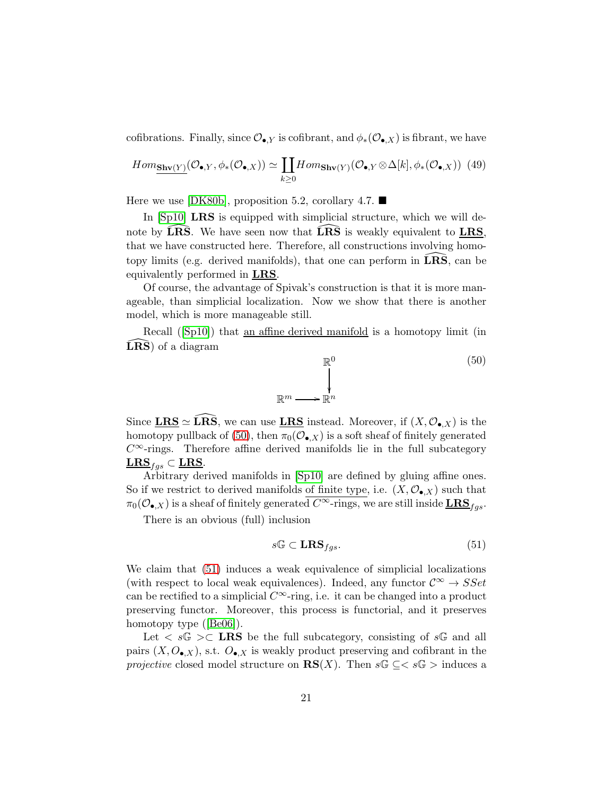cofibrations. Finally, since  $\mathcal{O}_{\bullet,Y}$  is cofibrant, and  $\phi_*(\mathcal{O}_{\bullet,X})$  is fibrant, we have

$$
Hom_{\underline{\text{Shv}(Y)}}(\mathcal{O}_{\bullet,Y},\phi_*(\mathcal{O}_{\bullet,X})) \simeq \coprod_{k\geq 0} Hom_{\text{Shv}(Y)}(\mathcal{O}_{\bullet,Y} \otimes \Delta[k],\phi_*(\mathcal{O}_{\bullet,X})) \tag{49}
$$

Here we use [\[DK80b\]](#page-21-7), proposition 5.2, corollary 4.7.  $\blacksquare$ 

In [\[Sp10\]](#page-22-0) LRS is equipped with simplicial structure, which we will denote by LRS. We have seen now that LRS is weakly equivalent to LRS. that we have constructed here. Therefore, all constructions involving homotopy limits (e.g. derived manifolds), that one can perform in  $\widehat{LRS}$ , can be equivalently performed in LRS.

Of course, the advantage of Spivak's construction is that it is more manageable, than simplicial localization. Now we show that there is another model, which is more manageable still.

Recall([\[Sp10\]](#page-22-0)) that an affine derived manifold is a homotopy limit (in  $LRS$  of a diagram

<span id="page-20-0"></span>
$$
\mathbb{R}^n \longrightarrow \mathbb{R}^n
$$

(50)

Since  $\underline{\textbf{LRS}} \simeq \widehat{\textbf{LRS}}$ , we can use  $\underline{\textbf{LRS}}$  instead. Moreover, if  $(X, \mathcal{O}_{\bullet,X})$  is the homotopy pullback of [\(50\)](#page-20-0), then  $\pi_0(\mathcal{O}_{\bullet,X})$  is a soft sheaf of finitely generated  $C^{\infty}$ -rings. Therefore affine derived manifolds lie in the full subcategory  $\underline{\text{LRS}}_{fas} \subset \underline{\text{LRS}}.$ 

Arbitrary derived manifolds in [\[Sp10\]](#page-22-0) are defined by gluing affine ones. So if we restrict to derived manifolds of finite type, i.e.  $(X, \mathcal{O}_{\bullet, X})$  such that  $\pi_0(\mathcal{O}_{\bullet,X})$  is a sheaf of finitely generated  $\overline{C^{\infty}}$ -rings, we are still inside  $\underline{LRS}_{fas}$ .

There is an obvious (full) inclusion

<span id="page-20-1"></span>
$$
s \mathbb{G} \subset \mathbf{LRS}_{fgs}.\tag{51}
$$

We claim that [\(51\)](#page-20-1) induces a weak equivalence of simplicial localizations (with respect to local weak equivalences). Indeed, any functor  $\mathcal{C}^{\infty} \to SSet$ can be rectified to a simplicial  $C^{\infty}$ -ring, i.e. it can be changed into a product preserving functor. Moreover, this process is functorial, and it preserves homotopytype ([\[Be06\]](#page-21-2)).

Let  $\langle sG \rangle \subset \mathbf{LRS}$  be the full subcategory, consisting of  $sG$  and all pairs  $(X, O_{\bullet,X})$ , s.t.  $O_{\bullet,X}$  is weakly product preserving and cofibrant in the *projective* closed model structure on  $\mathbf{RS}(X)$ . Then  $s\mathbb{G} \subseteq < s\mathbb{G} >$  induces a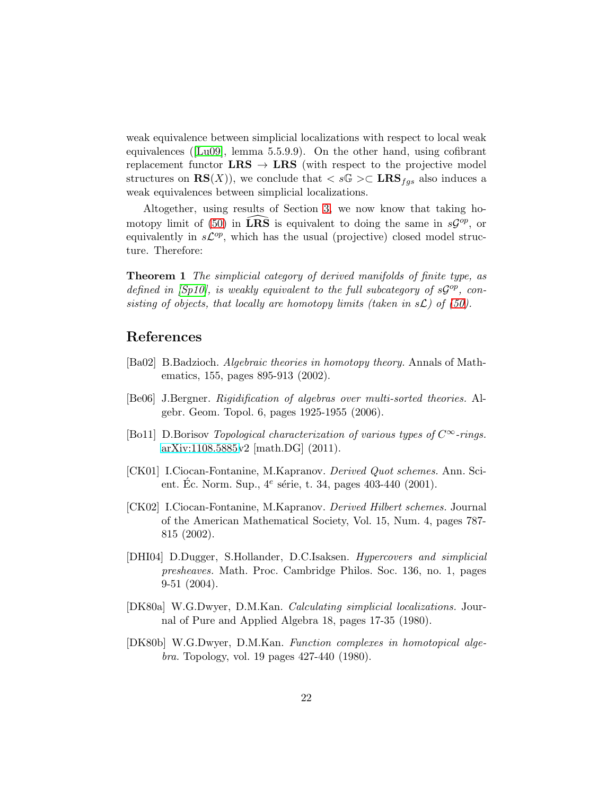weak equivalence between simplicial localizations with respect to local weak equivalences([\[Lu09\]](#page-22-13), lemma 5.5.9.9). On the other hand, using cofibrant replacement functor  $\text{LRS} \rightarrow \text{LRS}$  (with respect to the projective model structures on  $\mathbf{RS}(X)$ , we conclude that  $\langle s\mathbb{G} \rangle\subset \mathbf{LRS}_{fas}$  also induces a weak equivalences between simplicial localizations.

Altogether, using results of Section [3,](#page-7-0) we now know that taking ho-motopy limit of [\(50\)](#page-20-0) in  $\widehat{\text{LRS}}$  is equivalent to doing the same in  $s\mathcal{G}^{op}$ , or equivalently in  $s\mathcal{L}^{op}$ , which has the usual (projective) closed model structure. Therefore:

**Theorem 1** The simplicial category of derived manifolds of finite type, as defined in  $[Sp10]$ , is weakly equivalent to the full subcategory of  $s\mathcal{G}^{op}$ , consisting of objects, that locally are homotopy limits (taken in  $s\mathcal{L}$ ) of [\(50\)](#page-20-0).

### References

- <span id="page-21-1"></span>[Ba02] B.Badzioch. Algebraic theories in homotopy theory. Annals of Mathematics, 155, pages 895-913 (2002).
- <span id="page-21-2"></span>[Be06] J.Bergner. Rigidification of algebras over multi-sorted theories. Algebr. Geom. Topol. 6, pages 1925-1955 (2006).
- <span id="page-21-5"></span>[Bo11] D.Borisov Topological characterization of various types of  $C^{\infty}$ -rings. [arXiv:1108.5885v](http://arxiv.org/abs/1108.5885)2 [math.DG] (2011).
- <span id="page-21-3"></span>[CK01] I.Ciocan-Fontanine, M.Kapranov. Derived Quot schemes. Ann. Scient. Éc. Norm. Sup., 4<sup>e</sup> série, t. 34, pages 403-440 (2001).
- <span id="page-21-4"></span>[CK02] I.Ciocan-Fontanine, M.Kapranov. Derived Hilbert schemes. Journal of the American Mathematical Society, Vol. 15, Num. 4, pages 787- 815 (2002).
- <span id="page-21-0"></span>[DHI04] D.Dugger, S.Hollander, D.C.Isaksen. Hypercovers and simplicial presheaves. Math. Proc. Cambridge Philos. Soc. 136, no. 1, pages 9-51 (2004).
- <span id="page-21-6"></span>[DK80a] W.G.Dwyer, D.M.Kan. Calculating simplicial localizations. Journal of Pure and Applied Algebra 18, pages 17-35 (1980).
- <span id="page-21-7"></span>[DK80b] W.G.Dwyer, D.M.Kan. Function complexes in homotopical algebra. Topology, vol. 19 pages 427-440 (1980).